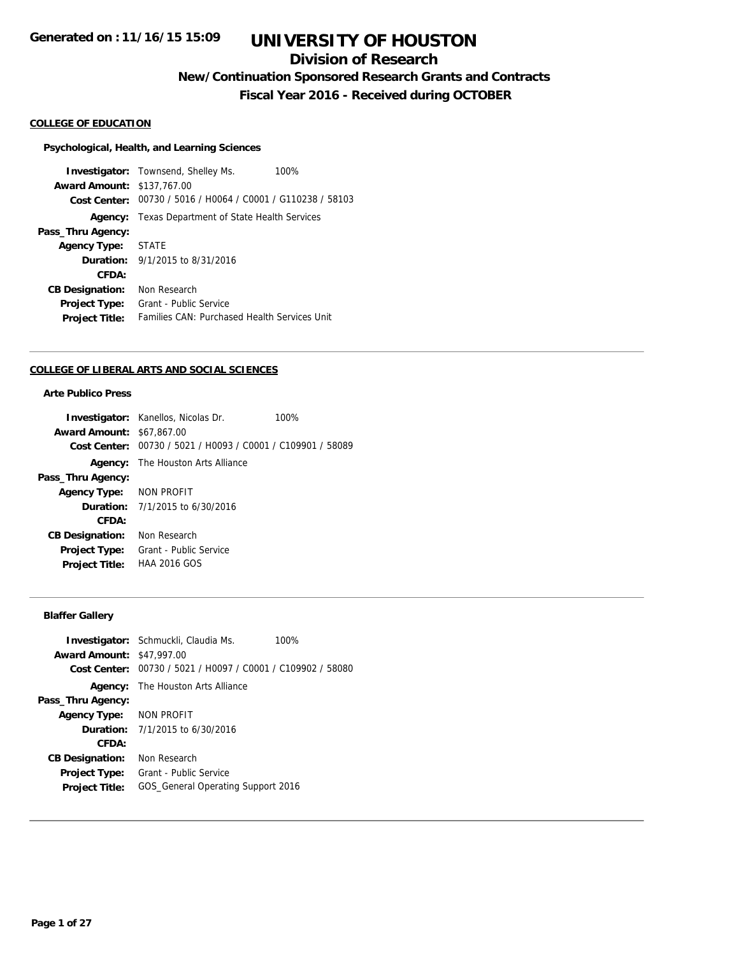# **Division of Research**

**New/Continuation Sponsored Research Grants and Contracts**

**Fiscal Year 2016 - Received during OCTOBER**

## **COLLEGE OF EDUCATION**

#### **Psychological, Health, and Learning Sciences**

**Investigator:** Townsend, Shelley Ms. 100% **Award Amount:** \$137,767.00 **Cost Center:** 00730 / 5016 / H0064 / C0001 / G110238 / 58103 **Agency:** Texas Department of State Health Services **Pass\_Thru Agency: Agency Type:** STATE **Duration:** 9/1/2015 to 8/31/2016 **CFDA: CB Designation:** Non Research **Project Type:** Grant - Public Service **Project Title:** Families CAN: Purchased Health Services Unit

#### **COLLEGE OF LIBERAL ARTS AND SOCIAL SCIENCES**

## **Arte Publico Press**

|                                  | <b>Investigator:</b> Kanellos, Nicolas Dr.                  | 100% |
|----------------------------------|-------------------------------------------------------------|------|
| <b>Award Amount: \$67,867.00</b> |                                                             |      |
|                                  | Cost Center: 00730 / 5021 / H0093 / C0001 / C109901 / 58089 |      |
| Agency:                          | The Houston Arts Alliance                                   |      |
| Pass_Thru Agency:                |                                                             |      |
| Agency Type: NON PROFIT          |                                                             |      |
|                                  | <b>Duration:</b> $7/1/2015$ to $6/30/2016$                  |      |
| CFDA:                            |                                                             |      |
| <b>CB Designation:</b>           | Non Research                                                |      |
| <b>Project Type:</b>             | Grant - Public Service                                      |      |
| <b>Project Title:</b>            | <b>HAA 2016 GOS</b>                                         |      |
|                                  |                                                             |      |

## **Blaffer Gallery**

|                                  | <b>Investigator:</b> Schmuckli, Claudia Ms.                 | 100% |
|----------------------------------|-------------------------------------------------------------|------|
| <b>Award Amount: \$47,997.00</b> |                                                             |      |
|                                  | Cost Center: 00730 / 5021 / H0097 / C0001 / C109902 / 58080 |      |
|                                  | <b>Agency:</b> The Houston Arts Alliance                    |      |
| Pass_Thru Agency:                |                                                             |      |
| Agency Type: NON PROFIT          |                                                             |      |
|                                  | <b>Duration:</b> 7/1/2015 to 6/30/2016                      |      |
| CFDA:                            |                                                             |      |
| <b>CB Designation:</b>           | Non Research                                                |      |
| <b>Project Type:</b>             | Grant - Public Service                                      |      |
| <b>Project Title:</b>            | GOS General Operating Support 2016                          |      |
|                                  |                                                             |      |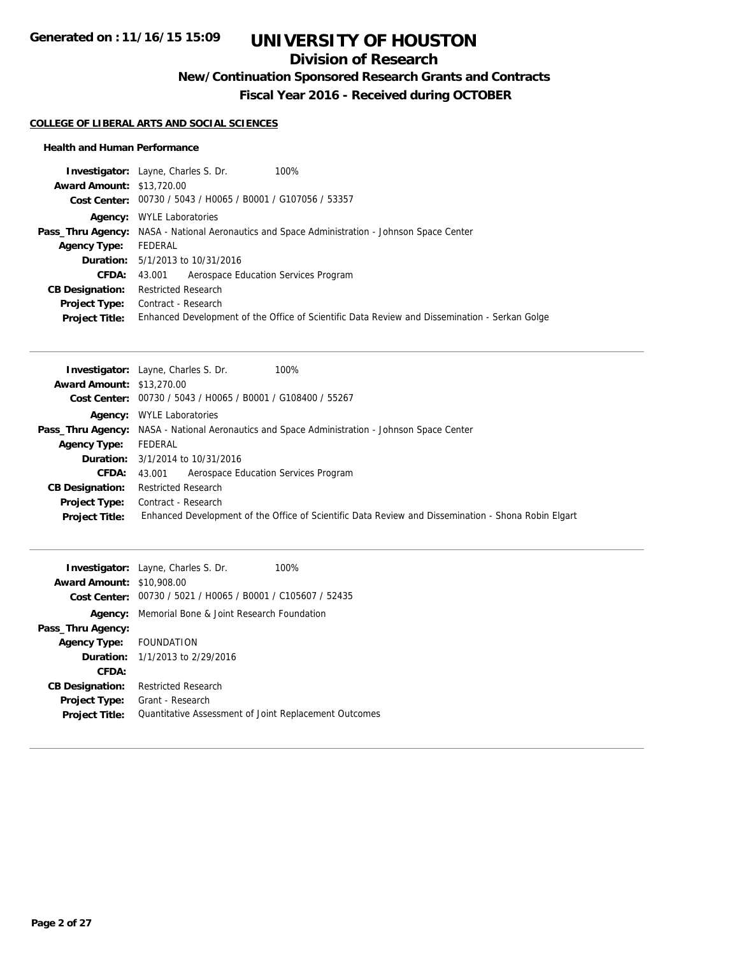# **Division of Research**

**New/Continuation Sponsored Research Grants and Contracts**

**Fiscal Year 2016 - Received during OCTOBER**

### **COLLEGE OF LIBERAL ARTS AND SOCIAL SCIENCES**

### **Health and Human Performance**

|                                  | <b>Investigator:</b> Layne, Charles S. Dr.<br>100%                                                   |  |
|----------------------------------|------------------------------------------------------------------------------------------------------|--|
| <b>Award Amount: \$13,720.00</b> |                                                                                                      |  |
|                                  | Cost Center: 00730 / 5043 / H0065 / B0001 / G107056 / 53357                                          |  |
|                                  | <b>Agency:</b> WYLE Laboratories                                                                     |  |
|                                  | <b>Pass_Thru Agency:</b> NASA - National Aeronautics and Space Administration - Johnson Space Center |  |
| <b>Agency Type:</b>              | FEDERAL                                                                                              |  |
|                                  | <b>Duration:</b> 5/1/2013 to 10/31/2016                                                              |  |
| <b>CFDA:</b>                     | Aerospace Education Services Program<br>43.001                                                       |  |
| <b>CB Designation:</b>           | <b>Restricted Research</b>                                                                           |  |
| <b>Project Type:</b>             | Contract - Research                                                                                  |  |
| <b>Project Title:</b>            | Enhanced Development of the Office of Scientific Data Review and Dissemination - Serkan Golge        |  |

|                                  | <b>Investigator:</b> Layne, Charles S. Dr.<br>100%                                                   |
|----------------------------------|------------------------------------------------------------------------------------------------------|
| <b>Award Amount: \$13,270.00</b> |                                                                                                      |
|                                  | Cost Center: 00730 / 5043 / H0065 / B0001 / G108400 / 55267                                          |
|                                  | <b>Agency:</b> WYLE Laboratories                                                                     |
|                                  | <b>Pass_Thru Agency:</b> NASA - National Aeronautics and Space Administration - Johnson Space Center |
| <b>Agency Type:</b>              | FEDERAL                                                                                              |
|                                  | <b>Duration:</b> 3/1/2014 to 10/31/2016                                                              |
| <b>CFDA:</b>                     | 43.001 Aerospace Education Services Program                                                          |
| <b>CB Designation:</b>           | <b>Restricted Research</b>                                                                           |
| <b>Project Type:</b>             | Contract - Research                                                                                  |
| <b>Project Title:</b>            | Enhanced Development of the Office of Scientific Data Review and Dissemination - Shona Robin Elgart  |

|                                  | <b>Investigator:</b> Layne, Charles S. Dr.                  | 100% |
|----------------------------------|-------------------------------------------------------------|------|
| <b>Award Amount: \$10,908.00</b> |                                                             |      |
|                                  | Cost Center: 00730 / 5021 / H0065 / B0001 / C105607 / 52435 |      |
| Agency:                          | Memorial Bone & Joint Research Foundation                   |      |
| Pass_Thru Agency:                |                                                             |      |
| Agency Type: FOUNDATION          |                                                             |      |
|                                  | <b>Duration:</b> $1/1/2013$ to $2/29/2016$                  |      |
| CFDA:                            |                                                             |      |
| <b>CB Designation:</b>           | <b>Restricted Research</b>                                  |      |
| <b>Project Type:</b>             | Grant - Research                                            |      |
| <b>Project Title:</b>            | Quantitative Assessment of Joint Replacement Outcomes       |      |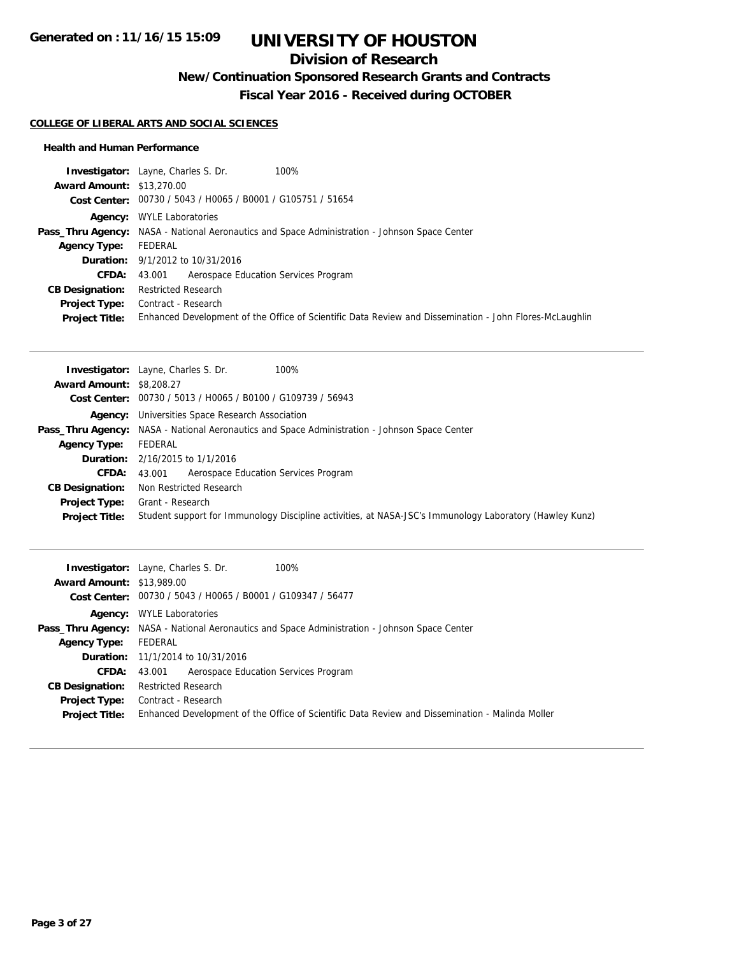# **Division of Research**

**New/Continuation Sponsored Research Grants and Contracts**

**Fiscal Year 2016 - Received during OCTOBER**

### **COLLEGE OF LIBERAL ARTS AND SOCIAL SCIENCES**

#### **Health and Human Performance**

|                                  | <b>Investigator:</b> Layne, Charles S. Dr.<br>100%                                                      |
|----------------------------------|---------------------------------------------------------------------------------------------------------|
| <b>Award Amount: \$13,270.00</b> |                                                                                                         |
|                                  | Cost Center: 00730 / 5043 / H0065 / B0001 / G105751 / 51654                                             |
| Aaencv:                          | <b>WYLE Laboratories</b>                                                                                |
|                                  | <b>Pass_Thru Agency:</b> NASA - National Aeronautics and Space Administration - Johnson Space Center    |
| <b>Agency Type:</b>              | FEDERAL                                                                                                 |
|                                  | <b>Duration:</b> 9/1/2012 to 10/31/2016                                                                 |
| <b>CFDA:</b>                     | Aerospace Education Services Program<br>43.001                                                          |
| <b>CB Designation:</b>           | <b>Restricted Research</b>                                                                              |
| Project Type:                    | Contract - Research                                                                                     |
| <b>Project Title:</b>            | Enhanced Development of the Office of Scientific Data Review and Dissemination - John Flores-McLaughlin |

|                                 | <b>Investigator:</b> Layne, Charles S. Dr.<br>100%                                                      |
|---------------------------------|---------------------------------------------------------------------------------------------------------|
| <b>Award Amount: \$8,208.27</b> |                                                                                                         |
|                                 | Cost Center: 00730 / 5013 / H0065 / B0100 / G109739 / 56943                                             |
|                                 | <b>Agency:</b> Universities Space Research Association                                                  |
|                                 | <b>Pass_Thru Agency:</b> NASA - National Aeronautics and Space Administration - Johnson Space Center    |
| <b>Agency Type:</b>             | FEDERAL                                                                                                 |
|                                 | <b>Duration:</b> 2/16/2015 to 1/1/2016                                                                  |
| <b>CFDA:</b>                    | Aerospace Education Services Program<br>43.001                                                          |
| <b>CB Designation:</b>          | Non Restricted Research                                                                                 |
| <b>Project Type:</b>            | Grant - Research                                                                                        |
| <b>Project Title:</b>           | Student support for Immunology Discipline activities, at NASA-JSC's Immunology Laboratory (Hawley Kunz) |

|                                  | <b>Investigator:</b> Layne, Charles S. Dr.<br>100%                                                   |
|----------------------------------|------------------------------------------------------------------------------------------------------|
| <b>Award Amount: \$13,989.00</b> |                                                                                                      |
|                                  | Cost Center: 00730 / 5043 / H0065 / B0001 / G109347 / 56477                                          |
| Agency:                          | <b>WYLE Laboratories</b>                                                                             |
|                                  | <b>Pass_Thru Agency:</b> NASA - National Aeronautics and Space Administration - Johnson Space Center |
| <b>Agency Type:</b>              | FEDERAL                                                                                              |
|                                  | <b>Duration:</b> 11/1/2014 to 10/31/2016                                                             |
| <b>CFDA:</b>                     | Aerospace Education Services Program<br>43.001                                                       |
| <b>CB Designation:</b>           | <b>Restricted Research</b>                                                                           |
| <b>Project Type:</b>             | Contract - Research                                                                                  |
| <b>Project Title:</b>            | Enhanced Development of the Office of Scientific Data Review and Dissemination - Malinda Moller      |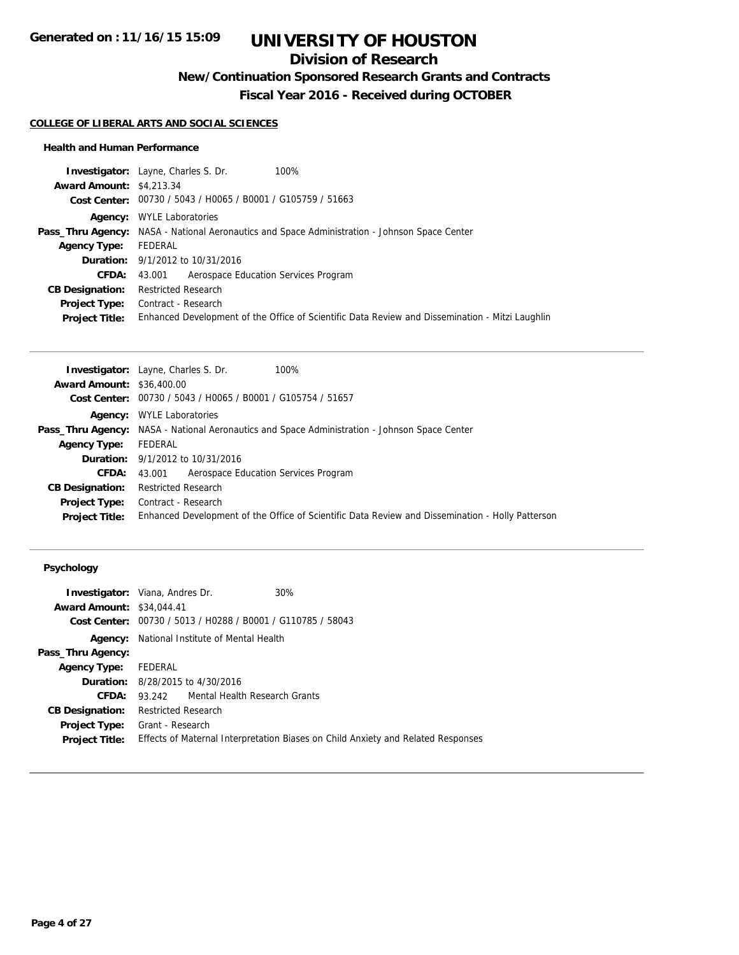## **Division of Research**

**New/Continuation Sponsored Research Grants and Contracts**

**Fiscal Year 2016 - Received during OCTOBER**

#### **COLLEGE OF LIBERAL ARTS AND SOCIAL SCIENCES**

#### **Health and Human Performance**

| <b>Investigator:</b> Layne, Charles S. Dr.                  | 100%                                                                                                 |
|-------------------------------------------------------------|------------------------------------------------------------------------------------------------------|
| <b>Award Amount: \$4,213,34</b>                             |                                                                                                      |
| Cost Center: 00730 / 5043 / H0065 / B0001 / G105759 / 51663 |                                                                                                      |
| <b>WYLE Laboratories</b>                                    |                                                                                                      |
|                                                             | <b>Pass_Thru Agency:</b> NASA - National Aeronautics and Space Administration - Johnson Space Center |
| FEDERAL                                                     |                                                                                                      |
| <b>Duration:</b> 9/1/2012 to 10/31/2016                     |                                                                                                      |
| Aerospace Education Services Program<br>43.001              |                                                                                                      |
| <b>Restricted Research</b>                                  |                                                                                                      |
| Contract - Research                                         |                                                                                                      |
|                                                             | Enhanced Development of the Office of Scientific Data Review and Dissemination - Mitzi Laughlin      |
| Agency:                                                     |                                                                                                      |

|                                  | <b>Investigator:</b> Layne, Charles S. Dr.<br>100%                                                   |
|----------------------------------|------------------------------------------------------------------------------------------------------|
| <b>Award Amount: \$36,400.00</b> |                                                                                                      |
|                                  | Cost Center: 00730 / 5043 / H0065 / B0001 / G105754 / 51657                                          |
|                                  | <b>Agency:</b> WYLE Laboratories                                                                     |
|                                  | <b>Pass_Thru Agency:</b> NASA - National Aeronautics and Space Administration - Johnson Space Center |
| <b>Agency Type:</b>              | FEDERAL                                                                                              |
|                                  | <b>Duration:</b> 9/1/2012 to 10/31/2016                                                              |
| <b>CFDA:</b>                     | Aerospace Education Services Program<br>43.001                                                       |
| <b>CB Designation:</b>           | <b>Restricted Research</b>                                                                           |
| <b>Project Type:</b>             | Contract - Research                                                                                  |
| <b>Project Title:</b>            | Enhanced Development of the Office of Scientific Data Review and Dissemination - Holly Patterson     |
|                                  |                                                                                                      |

## **Psychology**

|                                  | <b>Investigator:</b> Viana, Andres Dr.<br>30%                                    |  |
|----------------------------------|----------------------------------------------------------------------------------|--|
| <b>Award Amount: \$34,044.41</b> |                                                                                  |  |
|                                  | Cost Center: 00730 / 5013 / H0288 / B0001 / G110785 / 58043                      |  |
|                                  | <b>Agency:</b> National Institute of Mental Health                               |  |
| Pass_Thru Agency:                |                                                                                  |  |
| <b>Agency Type:</b>              | FEDERAL                                                                          |  |
|                                  | <b>Duration:</b> 8/28/2015 to 4/30/2016                                          |  |
| <b>CFDA:</b>                     | 93.242 Mental Health Research Grants                                             |  |
| <b>CB Designation:</b>           | Restricted Research                                                              |  |
| <b>Project Type:</b>             | Grant - Research                                                                 |  |
| <b>Project Title:</b>            | Effects of Maternal Interpretation Biases on Child Anxiety and Related Responses |  |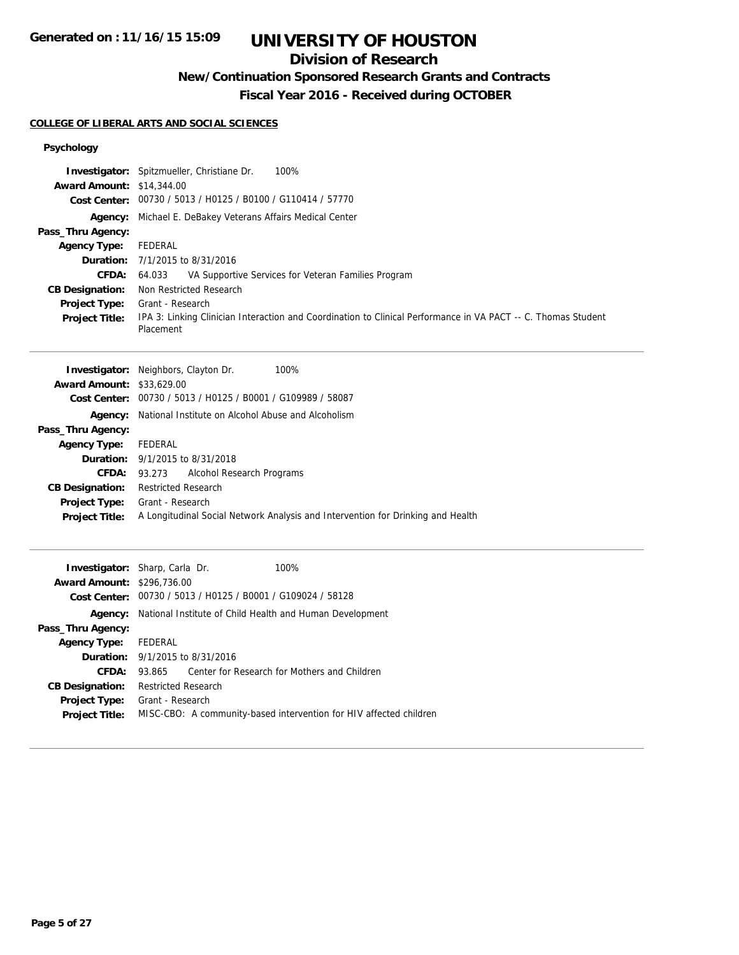# **Division of Research**

# **New/Continuation Sponsored Research Grants and Contracts**

**Fiscal Year 2016 - Received during OCTOBER**

### **COLLEGE OF LIBERAL ARTS AND SOCIAL SCIENCES**

## **Psychology**

| <b>Award Amount: \$14,344.00</b><br>Agency:<br>Pass_Thru Agency:<br><b>Agency Type:</b><br>Duration:<br>CFDA:<br><b>CB Designation:</b><br>Project Type:<br><b>Project Title:</b>                               | Investigator: Spitzmueller, Christiane Dr.<br>100%<br>Cost Center: 00730 / 5013 / H0125 / B0100 / G110414 / 57770<br>Michael E. DeBakey Veterans Affairs Medical Center<br><b>FEDERAL</b><br>7/1/2015 to 8/31/2016<br>64.033<br>VA Supportive Services for Veteran Families Program<br>Non Restricted Research<br>Grant - Research<br>IPA 3: Linking Clinician Interaction and Coordination to Clinical Performance in VA PACT -- C. Thomas Student<br>Placement |
|-----------------------------------------------------------------------------------------------------------------------------------------------------------------------------------------------------------------|------------------------------------------------------------------------------------------------------------------------------------------------------------------------------------------------------------------------------------------------------------------------------------------------------------------------------------------------------------------------------------------------------------------------------------------------------------------|
| Award Amount: \$33,629.00<br><b>Cost Center:</b><br>Agency:<br>Pass_Thru Agency:<br><b>Agency Type:</b><br>Duration:<br><b>CFDA:</b><br><b>CB Designation:</b><br><b>Project Type:</b><br><b>Project Title:</b> | 100%<br><b>Investigator:</b> Neighbors, Clayton Dr.<br>00730 / 5013 / H0125 / B0001 / G109989 / 58087<br>National Institute on Alcohol Abuse and Alcoholism<br>FEDERAL<br>9/1/2015 to 8/31/2018<br>93.273<br>Alcohol Research Programs<br><b>Restricted Research</b><br>Grant - Research<br>A Longitudinal Social Network Analysis and Intervention for Drinking and Health                                                                                      |
| Award Amount: \$296,736.00<br>Agency:<br>Pass_Thru Agency:<br><b>Agency Type:</b><br>Duration:<br><b>CFDA:</b><br><b>CB Designation:</b><br><b>Project Type:</b><br><b>Project Title:</b>                       | Investigator: Sharp, Carla Dr.<br>100%<br>Cost Center: 00730 / 5013 / H0125 / B0001 / G109024 / 58128<br>National Institute of Child Health and Human Development<br><b>FEDERAL</b><br>9/1/2015 to 8/31/2016<br>Center for Research for Mothers and Children<br>93.865<br><b>Restricted Research</b><br>Grant - Research<br>MISC-CBO: A community-based intervention for HIV affected children                                                                   |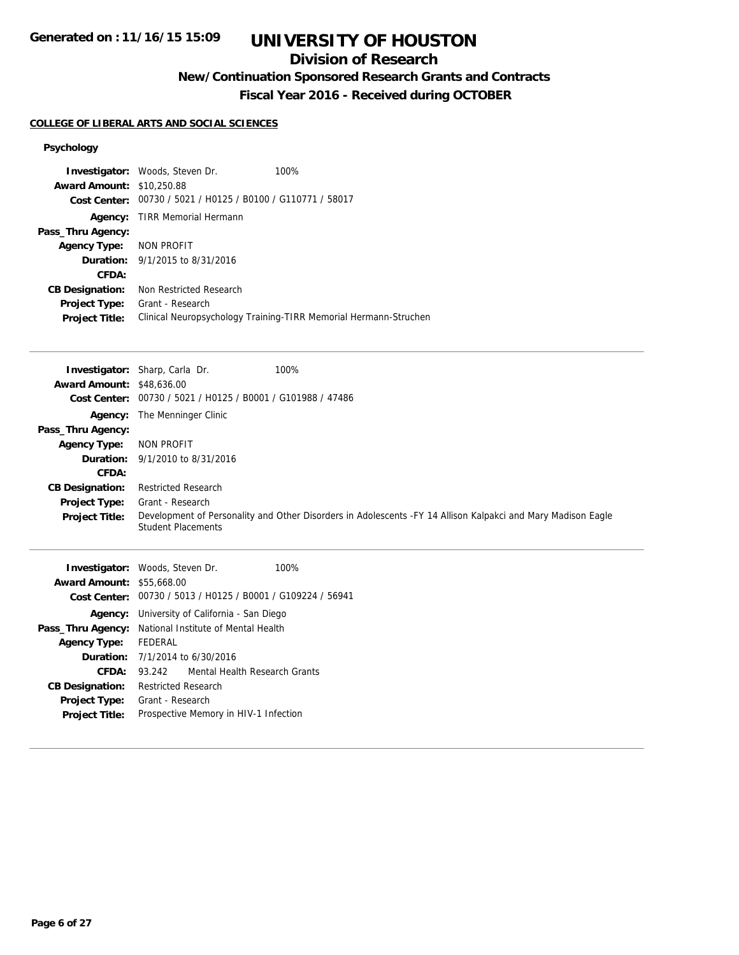## **Division of Research**

# **New/Continuation Sponsored Research Grants and Contracts**

**Fiscal Year 2016 - Received during OCTOBER**

#### **COLLEGE OF LIBERAL ARTS AND SOCIAL SCIENCES**

## **Psychology**

|                                  | Investigator: Woods, Steven Dr.                             | 100%                                                                                                         |
|----------------------------------|-------------------------------------------------------------|--------------------------------------------------------------------------------------------------------------|
| <b>Award Amount: \$10,250.88</b> |                                                             |                                                                                                              |
| <b>Cost Center:</b>              | 00730 / 5021 / H0125 / B0100 / G110771 / 58017              |                                                                                                              |
| Agency:                          | <b>TIRR Memorial Hermann</b>                                |                                                                                                              |
| Pass_Thru Agency:                |                                                             |                                                                                                              |
| <b>Agency Type:</b>              | <b>NON PROFIT</b>                                           |                                                                                                              |
| Duration:                        | 9/1/2015 to 8/31/2016                                       |                                                                                                              |
| CFDA:                            |                                                             |                                                                                                              |
| <b>CB Designation:</b>           | Non Restricted Research                                     |                                                                                                              |
| <b>Project Type:</b>             | Grant - Research                                            |                                                                                                              |
| <b>Project Title:</b>            |                                                             | Clinical Neuropsychology Training-TIRR Memorial Hermann-Struchen                                             |
|                                  |                                                             |                                                                                                              |
|                                  | <b>Investigator:</b> Sharp, Carla Dr.                       | 100%                                                                                                         |
| <b>Award Amount: \$48,636.00</b> |                                                             |                                                                                                              |
| <b>Cost Center:</b>              | 00730 / 5021 / H0125 / B0001 / G101988 / 47486              |                                                                                                              |
| Agency:                          | The Menninger Clinic                                        |                                                                                                              |
| Pass_Thru Agency:                |                                                             |                                                                                                              |
| <b>Agency Type:</b>              | <b>NON PROFIT</b>                                           |                                                                                                              |
| Duration:                        | 9/1/2010 to 8/31/2016                                       |                                                                                                              |
| <b>CFDA:</b>                     |                                                             |                                                                                                              |
| <b>CB Designation:</b>           | <b>Restricted Research</b>                                  |                                                                                                              |
| <b>Project Type:</b>             | Grant - Research                                            |                                                                                                              |
| <b>Project Title:</b>            | <b>Student Placements</b>                                   | Development of Personality and Other Disorders in Adolescents -FY 14 Allison Kalpakci and Mary Madison Eagle |
|                                  | Investigator: Woods, Steven Dr.                             | 100%                                                                                                         |
| <b>Award Amount: \$55,668.00</b> |                                                             |                                                                                                              |
|                                  | Cost Center: 00730 / 5013 / H0125 / B0001 / G109224 / 56941 |                                                                                                              |
|                                  | Agency: University of California - San Diego                |                                                                                                              |
|                                  | Pass_Thru Agency: National Institute of Mental Health       |                                                                                                              |

**Agency Type:** FEDERAL

**CB Designation:** Restricted Research **Project Type:** Grant - Research

**Duration:** 7/1/2014 to 6/30/2016

**CFDA:** 93.242 Mental Health Research Grants

**Project Title:** Prospective Memory in HIV-1 Infection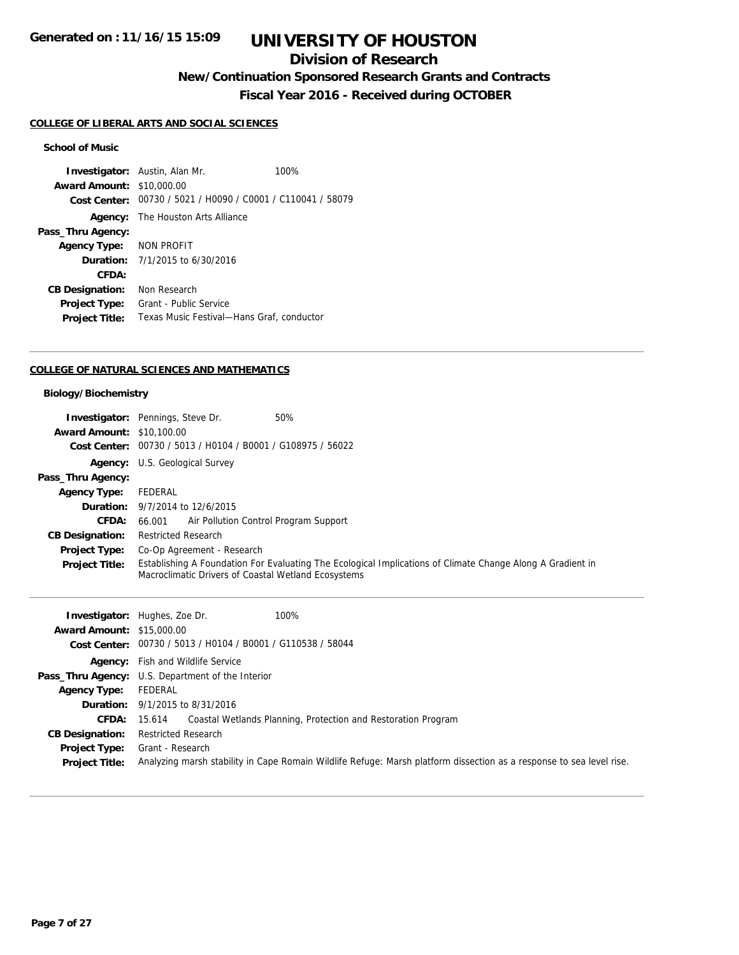## **Division of Research**

**New/Continuation Sponsored Research Grants and Contracts**

**Fiscal Year 2016 - Received during OCTOBER**

#### **COLLEGE OF LIBERAL ARTS AND SOCIAL SCIENCES**

## **School of Music**

**Investigator:** Austin, Alan Mr. 100% **Award Amount:** \$10,000.00 **Cost Center:** 00730 / 5021 / H0090 / C0001 / C110041 / 58079 **Agency:** The Houston Arts Alliance **Pass\_Thru Agency: Agency Type:** NON PROFIT **Duration:** 7/1/2015 to 6/30/2016 **CFDA: CB Designation:** Non Research **Project Type:** Grant - Public Service **Project Title:** Texas Music Festival—Hans Graf, conductor

#### **COLLEGE OF NATURAL SCIENCES AND MATHEMATICS**

#### **Biology/Biochemistry**

|                                  | 50%<br><b>Investigator:</b> Pennings, Steve Dr.                                                                                                                   |  |
|----------------------------------|-------------------------------------------------------------------------------------------------------------------------------------------------------------------|--|
| <b>Award Amount: \$10,100.00</b> |                                                                                                                                                                   |  |
|                                  | Cost Center: 00730 / 5013 / H0104 / B0001 / G108975 / 56022                                                                                                       |  |
|                                  | Agency: U.S. Geological Survey                                                                                                                                    |  |
| Pass_Thru Agency:                |                                                                                                                                                                   |  |
| <b>Agency Type:</b>              | FEDERAL                                                                                                                                                           |  |
|                                  | <b>Duration:</b> $9/7/2014$ to $12/6/2015$                                                                                                                        |  |
| <b>CFDA:</b>                     | 66.001 Air Pollution Control Program Support                                                                                                                      |  |
| <b>CB Designation:</b>           | <b>Restricted Research</b>                                                                                                                                        |  |
| <b>Project Type:</b>             | Co-Op Agreement - Research                                                                                                                                        |  |
| <b>Project Title:</b>            | Establishing A Foundation For Evaluating The Ecological Implications of Climate Change Along A Gradient in<br>Macroclimatic Drivers of Coastal Wetland Ecosystems |  |

|                                  | <b>Investigator:</b> Hughes, Zoe Dr.<br>100%                                                                         |  |
|----------------------------------|----------------------------------------------------------------------------------------------------------------------|--|
| <b>Award Amount: \$15,000.00</b> |                                                                                                                      |  |
|                                  | Cost Center: 00730 / 5013 / H0104 / B0001 / G110538 / 58044                                                          |  |
|                                  | <b>Agency:</b> Fish and Wildlife Service                                                                             |  |
|                                  | <b>Pass_Thru Agency:</b> U.S. Department of the Interior                                                             |  |
| <b>Agency Type:</b>              | FEDERAL                                                                                                              |  |
|                                  | <b>Duration:</b> 9/1/2015 to 8/31/2016                                                                               |  |
| CFDA:                            | Coastal Wetlands Planning, Protection and Restoration Program<br>15.614                                              |  |
| <b>CB Designation:</b>           | <b>Restricted Research</b>                                                                                           |  |
| <b>Project Type:</b>             | Grant - Research                                                                                                     |  |
| <b>Project Title:</b>            | Analyzing marsh stability in Cape Romain Wildlife Refuge: Marsh platform dissection as a response to sea level rise. |  |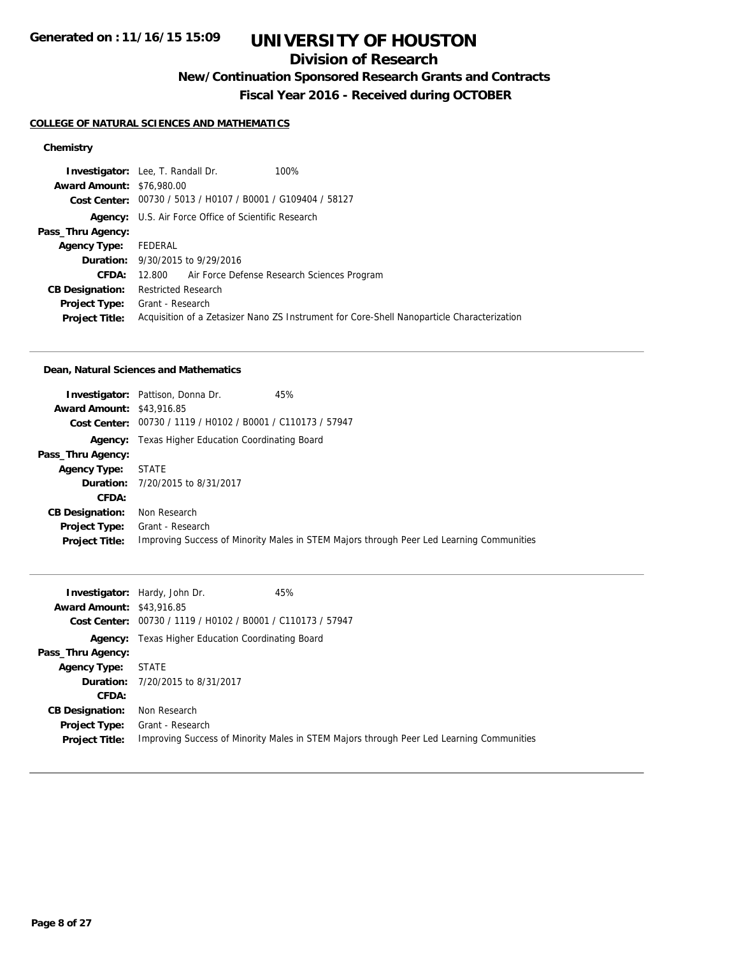## **Division of Research**

**New/Continuation Sponsored Research Grants and Contracts**

**Fiscal Year 2016 - Received during OCTOBER**

#### **COLLEGE OF NATURAL SCIENCES AND MATHEMATICS**

## **Chemistry**

|                                  | <b>Investigator:</b> Lee, T. Randall Dr.<br>100%                                           |  |
|----------------------------------|--------------------------------------------------------------------------------------------|--|
| <b>Award Amount: \$76,980.00</b> |                                                                                            |  |
|                                  | Cost Center: 00730 / 5013 / H0107 / B0001 / G109404 / 58127                                |  |
|                                  | <b>Agency:</b> U.S. Air Force Office of Scientific Research                                |  |
| Pass_Thru Agency:                |                                                                                            |  |
| <b>Agency Type:</b>              | FEDERAL                                                                                    |  |
|                                  | <b>Duration:</b> 9/30/2015 to 9/29/2016                                                    |  |
| <b>CFDA:</b>                     | 12.800 Air Force Defense Research Sciences Program                                         |  |
| <b>CB Designation:</b>           | <b>Restricted Research</b>                                                                 |  |
| <b>Project Type:</b>             | Grant - Research                                                                           |  |
| <b>Project Title:</b>            | Acquisition of a Zetasizer Nano ZS Instrument for Core-Shell Nanoparticle Characterization |  |

#### **Dean, Natural Sciences and Mathematics**

|                                  | <b>Investigator:</b> Pattison, Donna Dr.                    | 45%                                                                                      |
|----------------------------------|-------------------------------------------------------------|------------------------------------------------------------------------------------------|
| <b>Award Amount: \$43,916.85</b> |                                                             |                                                                                          |
|                                  | Cost Center: 00730 / 1119 / H0102 / B0001 / C110173 / 57947 |                                                                                          |
| Agency:                          | Texas Higher Education Coordinating Board                   |                                                                                          |
| Pass_Thru Agency:                |                                                             |                                                                                          |
| Agency Type: STATE               |                                                             |                                                                                          |
|                                  | <b>Duration:</b> 7/20/2015 to 8/31/2017                     |                                                                                          |
| CFDA:                            |                                                             |                                                                                          |
| <b>CB Designation:</b>           | Non Research                                                |                                                                                          |
| <b>Project Type:</b>             | Grant - Research                                            |                                                                                          |
| <b>Project Title:</b>            |                                                             | Improving Success of Minority Males in STEM Majors through Peer Led Learning Communities |
|                                  |                                                             |                                                                                          |

|                                  | <b>Investigator:</b> Hardy, John Dr.                        | 45%                                                                                      |
|----------------------------------|-------------------------------------------------------------|------------------------------------------------------------------------------------------|
| <b>Award Amount: \$43,916.85</b> |                                                             |                                                                                          |
|                                  | Cost Center: 00730 / 1119 / H0102 / B0001 / C110173 / 57947 |                                                                                          |
|                                  | <b>Agency:</b> Texas Higher Education Coordinating Board    |                                                                                          |
| Pass_Thru Agency:                |                                                             |                                                                                          |
| <b>Agency Type:</b>              | <b>STATE</b>                                                |                                                                                          |
|                                  | <b>Duration:</b> 7/20/2015 to 8/31/2017                     |                                                                                          |
| CFDA:                            |                                                             |                                                                                          |
| <b>CB Designation:</b>           | Non Research                                                |                                                                                          |
| <b>Project Type:</b>             | Grant - Research                                            |                                                                                          |
| <b>Project Title:</b>            |                                                             | Improving Success of Minority Males in STEM Majors through Peer Led Learning Communities |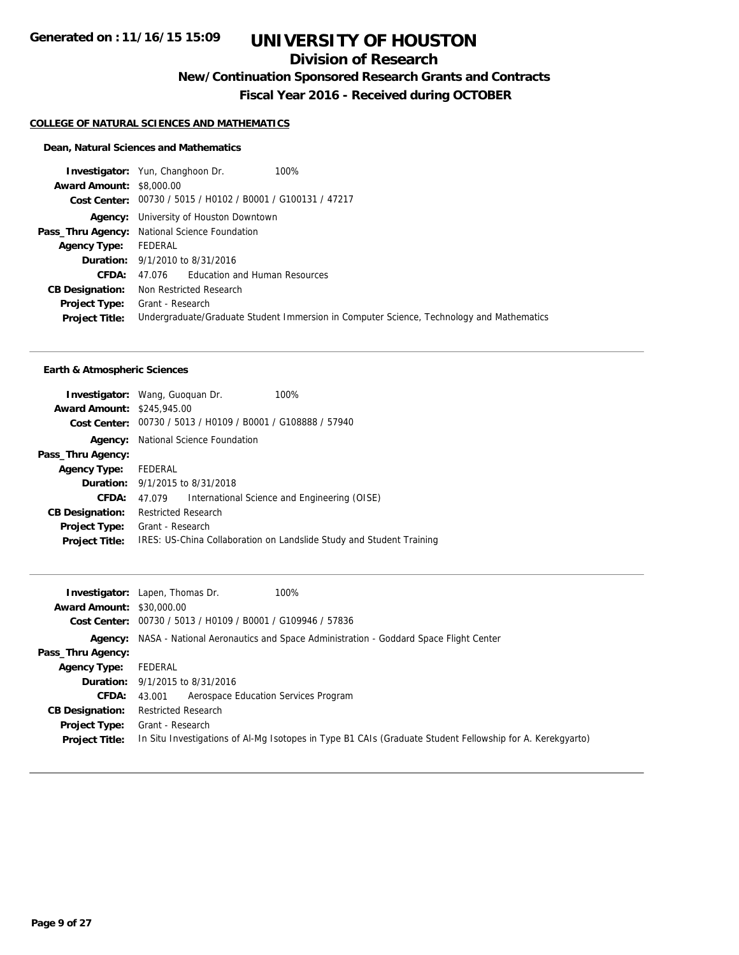# **Division of Research**

**New/Continuation Sponsored Research Grants and Contracts**

**Fiscal Year 2016 - Received during OCTOBER**

#### **COLLEGE OF NATURAL SCIENCES AND MATHEMATICS**

### **Dean, Natural Sciences and Mathematics**

| 100%<br><b>Investigator:</b> Yun, Changhoon Dr.                                          |  |
|------------------------------------------------------------------------------------------|--|
| <b>Award Amount: \$8,000.00</b>                                                          |  |
| Cost Center: 00730 / 5015 / H0102 / B0001 / G100131 / 47217                              |  |
| University of Houston Downtown                                                           |  |
| <b>Pass_Thru Agency:</b> National Science Foundation                                     |  |
| FEDERAL                                                                                  |  |
| <b>Duration:</b> 9/1/2010 to 8/31/2016                                                   |  |
| 47.076 Education and Human Resources                                                     |  |
| Non Restricted Research                                                                  |  |
| Grant - Research                                                                         |  |
| Undergraduate/Graduate Student Immersion in Computer Science, Technology and Mathematics |  |
|                                                                                          |  |

#### **Earth & Atmospheric Sciences**

|                                   | <b>Investigator:</b> Wang, Guoquan Dr.                      | 100%                                                                 |
|-----------------------------------|-------------------------------------------------------------|----------------------------------------------------------------------|
| <b>Award Amount: \$245,945.00</b> |                                                             |                                                                      |
|                                   | Cost Center: 00730 / 5013 / H0109 / B0001 / G108888 / 57940 |                                                                      |
| Agency:                           | National Science Foundation                                 |                                                                      |
| Pass_Thru Agency:                 |                                                             |                                                                      |
| Agency Type: FEDERAL              |                                                             |                                                                      |
|                                   | <b>Duration:</b> 9/1/2015 to 8/31/2018                      |                                                                      |
| <b>CFDA:</b>                      | 47.079                                                      | International Science and Engineering (OISE)                         |
| <b>CB Designation:</b>            | <b>Restricted Research</b>                                  |                                                                      |
| <b>Project Type:</b>              | Grant - Research                                            |                                                                      |
| <b>Project Title:</b>             |                                                             | IRES: US-China Collaboration on Landslide Study and Student Training |

| <b>Award Amount: \$30,000.00</b>              | 100%<br><b>Investigator:</b> Lapen, Thomas Dr.                                                                                |  |
|-----------------------------------------------|-------------------------------------------------------------------------------------------------------------------------------|--|
|                                               | Cost Center: 00730 / 5013 / H0109 / B0001 / G109946 / 57836                                                                   |  |
|                                               | <b>Agency:</b> NASA - National Aeronautics and Space Administration - Goddard Space Flight Center                             |  |
| Pass_Thru Agency:                             |                                                                                                                               |  |
| Agency Type:                                  | FEDERAL                                                                                                                       |  |
|                                               | <b>Duration:</b> $9/1/2015$ to $8/31/2016$                                                                                    |  |
| <b>CFDA:</b>                                  | Aerospace Education Services Program<br>43.001                                                                                |  |
| <b>CB Designation:</b>                        | <b>Restricted Research</b>                                                                                                    |  |
| <b>Project Type:</b><br><b>Project Title:</b> | Grant - Research<br>In Situ Investigations of Al-Mg Isotopes in Type B1 CAIs (Graduate Student Fellowship for A. Kerekgyarto) |  |
|                                               |                                                                                                                               |  |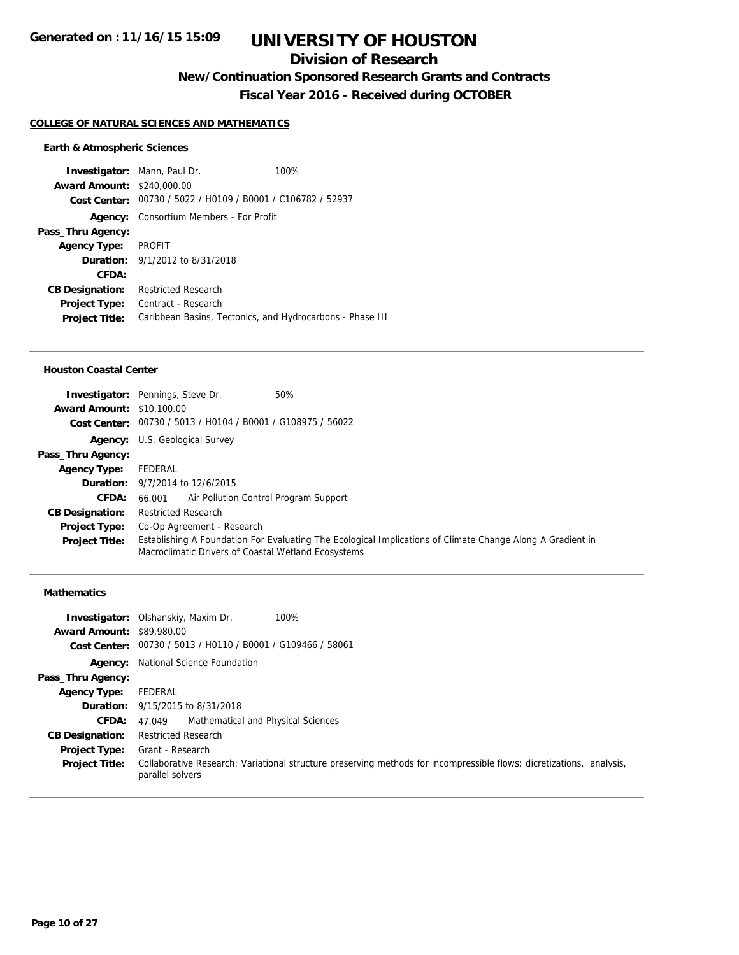## **Division of Research**

**New/Continuation Sponsored Research Grants and Contracts**

**Fiscal Year 2016 - Received during OCTOBER**

#### **COLLEGE OF NATURAL SCIENCES AND MATHEMATICS**

#### **Earth & Atmospheric Sciences**

**Investigator:** Mann, Paul Dr. 100% **Award Amount:** \$240,000.00 **Cost Center:** 00730 / 5022 / H0109 / B0001 / C106782 / 52937 **Agency:** Consortium Members - For Profit **Pass\_Thru Agency: Agency Type:** PROFIT **Duration:** 9/1/2012 to 8/31/2018 **CFDA: CB Designation:** Restricted Research **Project Type:** Contract - Research **Project Title:** Caribbean Basins, Tectonics, and Hydrocarbons - Phase III

#### **Houston Coastal Center**

| <b>Award Amount: \$10,100.00</b> | 50%<br><b>Investigator:</b> Pennings, Steve Dr.                                                                                                                   |  |
|----------------------------------|-------------------------------------------------------------------------------------------------------------------------------------------------------------------|--|
|                                  | Cost Center: 00730 / 5013 / H0104 / B0001 / G108975 / 56022                                                                                                       |  |
|                                  | <b>Agency:</b> U.S. Geological Survey                                                                                                                             |  |
| Pass_Thru Agency:                |                                                                                                                                                                   |  |
| <b>Agency Type:</b>              | FEDERAL                                                                                                                                                           |  |
|                                  | <b>Duration:</b> 9/7/2014 to 12/6/2015                                                                                                                            |  |
| <b>CFDA:</b>                     | 66.001 Air Pollution Control Program Support                                                                                                                      |  |
| <b>CB Designation:</b>           | <b>Restricted Research</b>                                                                                                                                        |  |
| <b>Project Type:</b>             | Co-Op Agreement - Research                                                                                                                                        |  |
| <b>Project Title:</b>            | Establishing A Foundation For Evaluating The Ecological Implications of Climate Change Along A Gradient in<br>Macroclimatic Drivers of Coastal Wetland Ecosystems |  |

### **Mathematics**

| <b>Award Amount: \$89,980.00</b>                        | <b>Investigator:</b> Olshanskiy, Maxim Dr.<br>100%<br>Cost Center: 00730 / 5013 / H0110 / B0001 / G109466 / 58061                        |
|---------------------------------------------------------|------------------------------------------------------------------------------------------------------------------------------------------|
| Pass_Thru Agency:                                       | <b>Agency:</b> National Science Foundation                                                                                               |
| Agency Type:                                            | FEDERAL                                                                                                                                  |
|                                                         | <b>Duration:</b> 9/15/2015 to 8/31/2018                                                                                                  |
| <b>CFDA:</b><br><b>CB Designation:</b><br>Project Type: | Mathematical and Physical Sciences<br>47.049<br><b>Restricted Research</b><br>Grant - Research                                           |
| <b>Project Title:</b>                                   | Collaborative Research: Variational structure preserving methods for incompressible flows: dicretizations, analysis,<br>parallel solvers |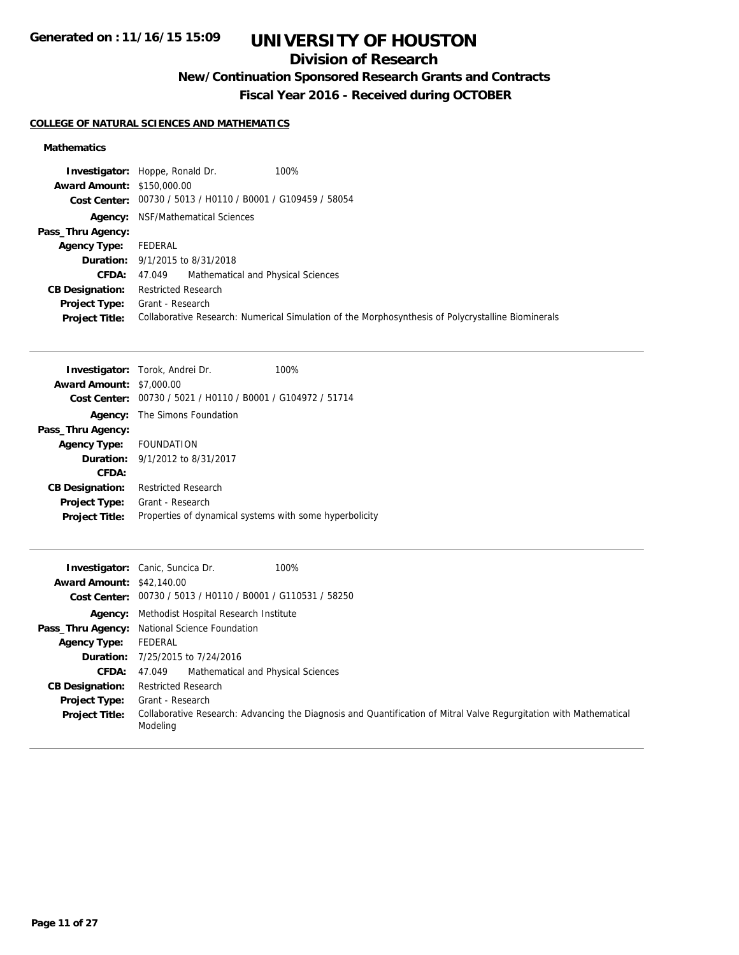# **Division of Research**

# **New/Continuation Sponsored Research Grants and Contracts**

**Fiscal Year 2016 - Received during OCTOBER**

## **COLLEGE OF NATURAL SCIENCES AND MATHEMATICS**

## **Mathematics**

|                                   | <b>Investigator:</b> Hoppe, Ronald Dr.<br>100%                                                     |  |
|-----------------------------------|----------------------------------------------------------------------------------------------------|--|
| <b>Award Amount: \$150,000.00</b> |                                                                                                    |  |
|                                   | Cost Center: 00730 / 5013 / H0110 / B0001 / G109459 / 58054                                        |  |
| Agency:                           | NSF/Mathematical Sciences                                                                          |  |
| Pass_Thru Agency:                 |                                                                                                    |  |
| <b>Agency Type:</b>               | FEDERAL                                                                                            |  |
|                                   | <b>Duration:</b> 9/1/2015 to 8/31/2018                                                             |  |
| <b>CFDA:</b> $47.049$             | Mathematical and Physical Sciences                                                                 |  |
| <b>CB Designation:</b>            | <b>Restricted Research</b>                                                                         |  |
| <b>Project Type:</b>              | Grant - Research                                                                                   |  |
| <b>Project Title:</b>             | Collaborative Research: Numerical Simulation of the Morphosynthesis of Polycrystalline Biominerals |  |

|                                 | <b>Investigator:</b> Torok, Andrei Dr.<br>100%              |
|---------------------------------|-------------------------------------------------------------|
| <b>Award Amount: \$7,000.00</b> |                                                             |
|                                 | Cost Center: 00730 / 5021 / H0110 / B0001 / G104972 / 51714 |
|                                 | <b>Agency:</b> The Simons Foundation                        |
| Pass_Thru Agency:               |                                                             |
| Agency Type: FOUNDATION         |                                                             |
|                                 | <b>Duration:</b> $9/1/2012$ to $8/31/2017$                  |
| CFDA:                           |                                                             |
| <b>CB Designation:</b>          | <b>Restricted Research</b>                                  |
| <b>Project Type:</b>            | Grant - Research                                            |
| <b>Project Title:</b>           | Properties of dynamical systems with some hyperbolicity     |

|                                  | 100%<br><b>Investigator:</b> Canic, Suncica Dr.                                                                                |
|----------------------------------|--------------------------------------------------------------------------------------------------------------------------------|
| <b>Award Amount: \$42,140.00</b> |                                                                                                                                |
|                                  | Cost Center: 00730 / 5013 / H0110 / B0001 / G110531 / 58250                                                                    |
|                                  | <b>Agency:</b> Methodist Hospital Research Institute                                                                           |
|                                  | Pass_Thru Agency: National Science Foundation                                                                                  |
| <b>Agency Type:</b>              | FEDERAL                                                                                                                        |
|                                  | <b>Duration:</b> 7/25/2015 to 7/24/2016                                                                                        |
|                                  | <b>CFDA:</b> 47,049 Mathematical and Physical Sciences                                                                         |
| <b>CB Designation:</b>           | <b>Restricted Research</b>                                                                                                     |
| <b>Project Type:</b>             | Grant - Research                                                                                                               |
| <b>Project Title:</b>            | Collaborative Research: Advancing the Diagnosis and Quantification of Mitral Valve Regurgitation with Mathematical<br>Modeling |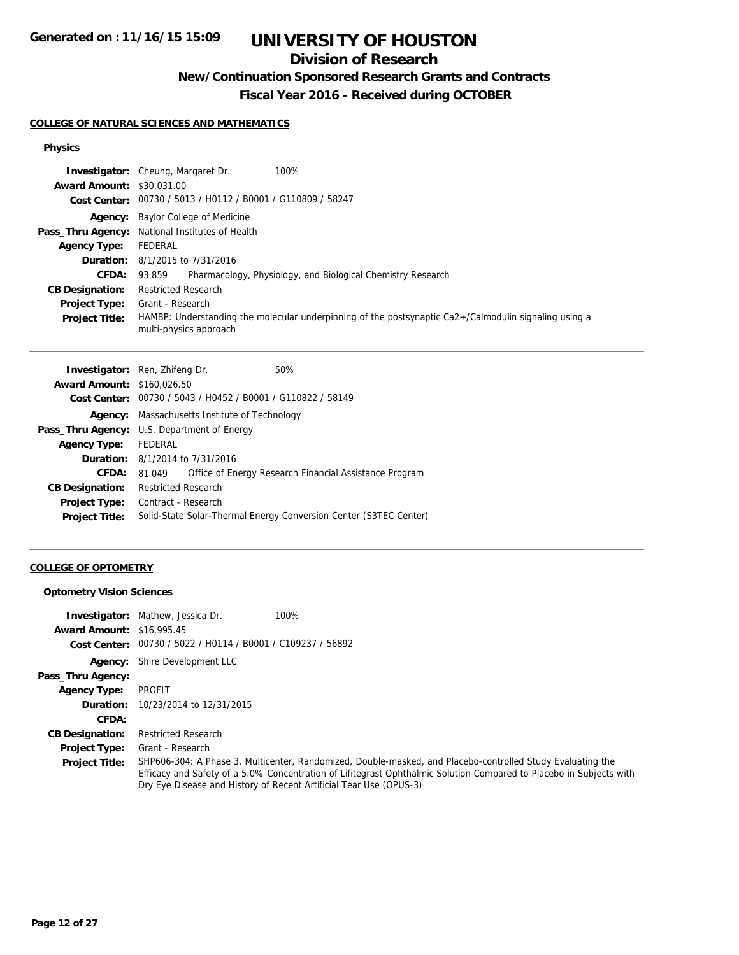## **Division of Research**

# **New/Continuation Sponsored Research Grants and Contracts**

**Fiscal Year 2016 - Received during OCTOBER**

#### **COLLEGE OF NATURAL SCIENCES AND MATHEMATICS**

## **Physics**

|                                  | 100%<br><b>Investigator:</b> Cheung, Margaret Dr.                                                                               |
|----------------------------------|---------------------------------------------------------------------------------------------------------------------------------|
| <b>Award Amount: \$30,031,00</b> |                                                                                                                                 |
|                                  | Cost Center: 00730 / 5013 / H0112 / B0001 / G110809 / 58247                                                                     |
|                                  | <b>Agency:</b> Baylor College of Medicine                                                                                       |
|                                  | Pass_Thru Agency: National Institutes of Health                                                                                 |
| <b>Agency Type:</b>              | FEDERAL                                                                                                                         |
|                                  | <b>Duration:</b> 8/1/2015 to 7/31/2016                                                                                          |
| <b>CFDA:</b>                     | Pharmacology, Physiology, and Biological Chemistry Research<br>93.859                                                           |
| <b>CB Designation:</b>           | <b>Restricted Research</b>                                                                                                      |
| <b>Project Type:</b>             | Grant - Research                                                                                                                |
| <b>Project Title:</b>            | HAMBP: Understanding the molecular underpinning of the postsynaptic Ca2+/Calmodulin signaling using a<br>multi-physics approach |

|                                                    | <b>Investigator:</b> Ren, Zhifeng Dr.  | 50%                                                               |
|----------------------------------------------------|----------------------------------------|-------------------------------------------------------------------|
| <b>Award Amount: \$160,026.50</b>                  |                                        |                                                                   |
|                                                    |                                        | Cost Center: 00730 / 5043 / H0452 / B0001 / G110822 / 58149       |
| Agency:                                            | Massachusetts Institute of Technology  |                                                                   |
| <b>Pass_Thru Agency:</b> U.S. Department of Energy |                                        |                                                                   |
| <b>Agency Type:</b>                                | FEDERAL                                |                                                                   |
|                                                    | <b>Duration:</b> 8/1/2014 to 7/31/2016 |                                                                   |
| <b>CFDA:</b>                                       | 81.049                                 | Office of Energy Research Financial Assistance Program            |
| <b>CB Designation:</b>                             | <b>Restricted Research</b>             |                                                                   |
| <b>Project Type:</b>                               | Contract - Research                    |                                                                   |
| <b>Project Title:</b>                              |                                        | Solid-State Solar-Thermal Energy Conversion Center (S3TEC Center) |
|                                                    |                                        |                                                                   |

## **COLLEGE OF OPTOMETRY**

## **Optometry Vision Sciences**

|                                  | <b>Investigator:</b> Mathew, Jessica Dr.                    | 100%                                                                                                                                                                                      |
|----------------------------------|-------------------------------------------------------------|-------------------------------------------------------------------------------------------------------------------------------------------------------------------------------------------|
| <b>Award Amount: \$16,995.45</b> |                                                             |                                                                                                                                                                                           |
|                                  | Cost Center: 00730 / 5022 / H0114 / B0001 / C109237 / 56892 |                                                                                                                                                                                           |
| Agency:                          | Shire Development LLC                                       |                                                                                                                                                                                           |
| Pass_Thru Agency:                |                                                             |                                                                                                                                                                                           |
| <b>Agency Type:</b>              | PROFIT                                                      |                                                                                                                                                                                           |
| Duration:                        | 10/23/2014 to 12/31/2015                                    |                                                                                                                                                                                           |
| CFDA:                            |                                                             |                                                                                                                                                                                           |
| <b>CB Designation:</b>           | <b>Restricted Research</b>                                  |                                                                                                                                                                                           |
| <b>Project Type:</b>             | Grant - Research                                            |                                                                                                                                                                                           |
| <b>Project Title:</b>            |                                                             | SHP606-304: A Phase 3, Multicenter, Randomized, Double-masked, and Placebo-controlled Study Evaluating the                                                                                |
|                                  |                                                             | Efficacy and Safety of a 5.0% Concentration of Lifitegrast Ophthalmic Solution Compared to Placebo in Subjects with<br>Dry Eye Disease and History of Recent Artificial Tear Use (OPUS-3) |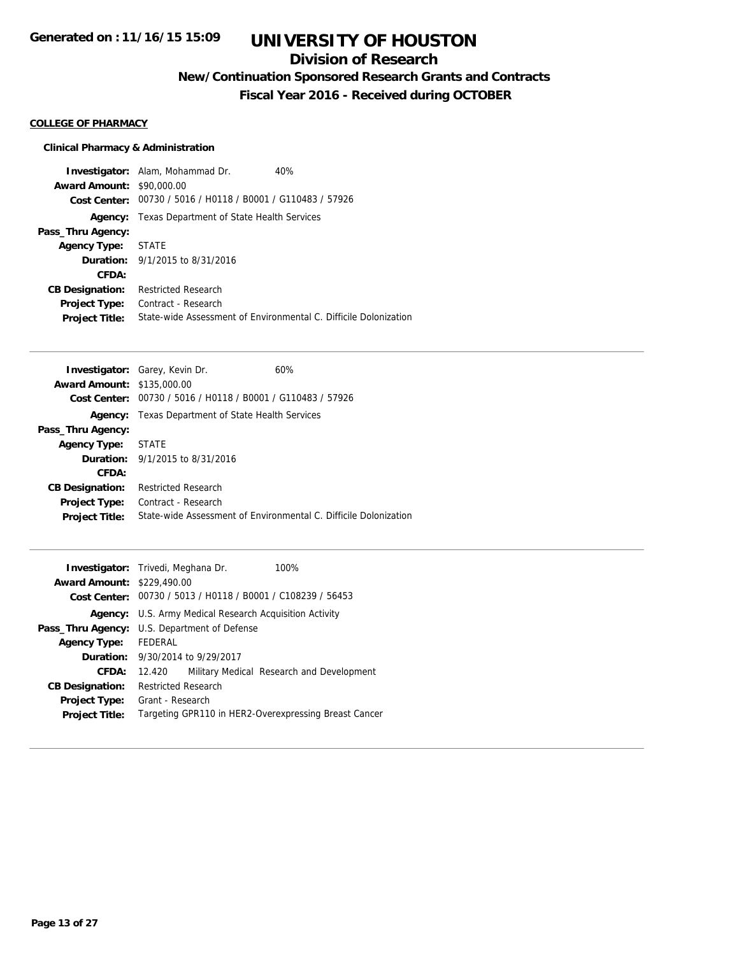## **Division of Research**

**New/Continuation Sponsored Research Grants and Contracts**

**Fiscal Year 2016 - Received during OCTOBER**

## **COLLEGE OF PHARMACY**

## **Clinical Pharmacy & Administration**

|                                  | <b>Investigator:</b> Alam, Mohammad Dr.                     | 40%                                                              |
|----------------------------------|-------------------------------------------------------------|------------------------------------------------------------------|
| <b>Award Amount: \$90,000.00</b> |                                                             |                                                                  |
|                                  | Cost Center: 00730 / 5016 / H0118 / B0001 / G110483 / 57926 |                                                                  |
|                                  | <b>Agency:</b> Texas Department of State Health Services    |                                                                  |
| Pass_Thru Agency:                |                                                             |                                                                  |
| <b>Agency Type:</b>              | STATE                                                       |                                                                  |
|                                  | <b>Duration:</b> 9/1/2015 to 8/31/2016                      |                                                                  |
| CFDA:                            |                                                             |                                                                  |
| <b>CB Designation:</b>           | <b>Restricted Research</b>                                  |                                                                  |
| <b>Project Type:</b>             | Contract - Research                                         |                                                                  |
| <b>Project Title:</b>            |                                                             | State-wide Assessment of Environmental C. Difficile Dolonization |

|                                   | <b>Investigator:</b> Garey, Kevin Dr.          | 60%                                                              |
|-----------------------------------|------------------------------------------------|------------------------------------------------------------------|
| <b>Award Amount: \$135,000.00</b> |                                                |                                                                  |
| Cost Center:                      | 00730 / 5016 / H0118 / B0001 / G110483 / 57926 |                                                                  |
| Agency:                           | Texas Department of State Health Services      |                                                                  |
| Pass_Thru Agency:                 |                                                |                                                                  |
| <b>Agency Type:</b>               | <b>STATE</b>                                   |                                                                  |
|                                   | <b>Duration:</b> 9/1/2015 to 8/31/2016         |                                                                  |
| CFDA:                             |                                                |                                                                  |
| <b>CB Designation:</b>            | <b>Restricted Research</b>                     |                                                                  |
| <b>Project Type:</b>              | Contract - Research                            |                                                                  |
| <b>Project Title:</b>             |                                                | State-wide Assessment of Environmental C. Difficile Dolonization |

|                                   | <b>Investigator:</b> Trivedi, Meghana Dr.                      | 100%                                                  |
|-----------------------------------|----------------------------------------------------------------|-------------------------------------------------------|
| <b>Award Amount: \$229,490.00</b> |                                                                |                                                       |
|                                   | Cost Center: 00730 / 5013 / H0118 / B0001 / C108239 / 56453    |                                                       |
|                                   | <b>Agency:</b> U.S. Army Medical Research Acquisition Activity |                                                       |
|                                   | <b>Pass_Thru Agency:</b> U.S. Department of Defense            |                                                       |
| <b>Agency Type:</b>               | FEDERAL                                                        |                                                       |
|                                   | <b>Duration:</b> 9/30/2014 to 9/29/2017                        |                                                       |
| CFDA:                             | 12.420                                                         | Military Medical Research and Development             |
| <b>CB Designation:</b>            | <b>Restricted Research</b>                                     |                                                       |
|                                   | <b>Project Type:</b> Grant - Research                          |                                                       |
| <b>Project Title:</b>             |                                                                | Targeting GPR110 in HER2-Overexpressing Breast Cancer |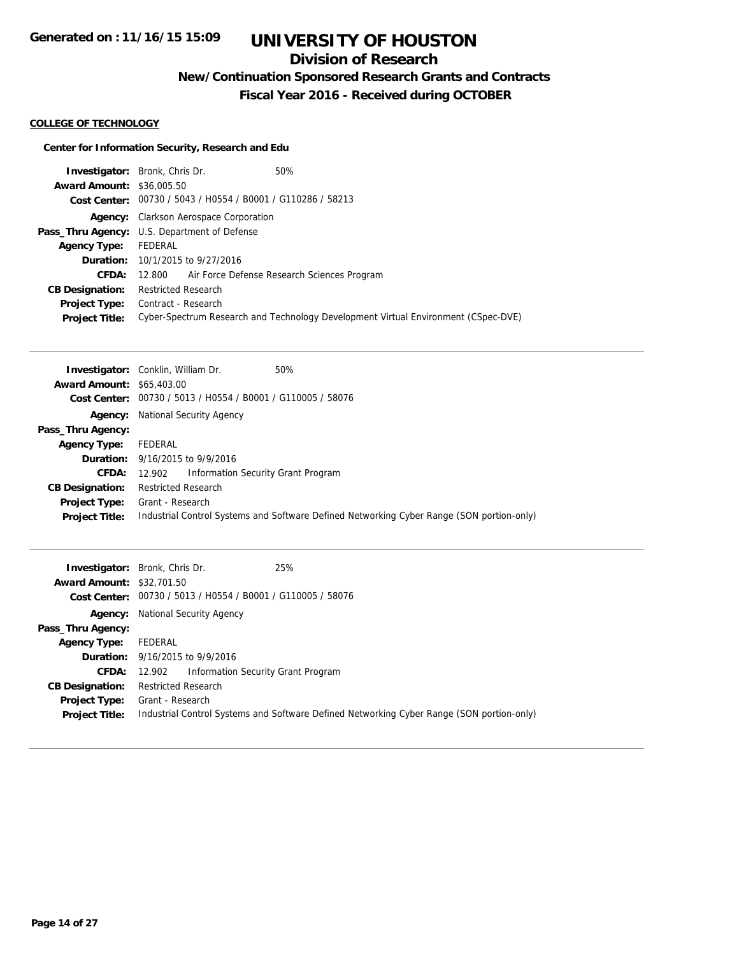# **Division of Research**

**New/Continuation Sponsored Research Grants and Contracts**

**Fiscal Year 2016 - Received during OCTOBER**

### **COLLEGE OF TECHNOLOGY**

## **Center for Information Security, Research and Edu**

|                                  | <b>Investigator:</b> Bronk, Chris Dr.                       | 50%                                                                                |
|----------------------------------|-------------------------------------------------------------|------------------------------------------------------------------------------------|
| <b>Award Amount: \$36,005.50</b> |                                                             |                                                                                    |
|                                  | Cost Center: 00730 / 5043 / H0554 / B0001 / G110286 / 58213 |                                                                                    |
|                                  | <b>Agency:</b> Clarkson Aerospace Corporation               |                                                                                    |
|                                  | <b>Pass_Thru Agency:</b> U.S. Department of Defense         |                                                                                    |
| <b>Agency Type:</b>              | FEDERAL                                                     |                                                                                    |
|                                  | <b>Duration:</b> 10/1/2015 to 9/27/2016                     |                                                                                    |
| CFDA:                            | 12.800 Air Force Defense Research Sciences Program          |                                                                                    |
| <b>CB Designation:</b>           | <b>Restricted Research</b>                                  |                                                                                    |
| Project Type:                    | Contract - Research                                         |                                                                                    |
| <b>Project Title:</b>            |                                                             | Cyber-Spectrum Research and Technology Development Virtual Environment (CSpec-DVE) |

|                                  | <b>Investigator:</b> Conklin, William Dr.<br>50%                                          |
|----------------------------------|-------------------------------------------------------------------------------------------|
| <b>Award Amount: \$65,403.00</b> |                                                                                           |
| Cost Center:                     | 00730 / 5013 / H0554 / B0001 / G110005 / 58076                                            |
| Agency:                          | <b>National Security Agency</b>                                                           |
| Pass_Thru Agency:                |                                                                                           |
| <b>Agency Type:</b>              | FEDERAL                                                                                   |
|                                  | Duration: 9/16/2015 to 9/9/2016                                                           |
| <b>CFDA:</b>                     | Information Security Grant Program<br>12.902                                              |
| <b>CB Designation:</b>           | <b>Restricted Research</b>                                                                |
| <b>Project Type:</b>             | Grant - Research                                                                          |
| <b>Project Title:</b>            | Industrial Control Systems and Software Defined Networking Cyber Range (SON portion-only) |

| <b>Award Amount: \$32,701.50</b>              | 25%<br><b>Investigator:</b> Bronk, Chris Dr.<br>Cost Center: 00730 / 5013 / H0554 / B0001 / G110005 / 58076   |
|-----------------------------------------------|---------------------------------------------------------------------------------------------------------------|
| Pass_Thru Agency:                             | <b>Agency:</b> National Security Agency                                                                       |
| <b>Agency Type:</b>                           | FEDERAL                                                                                                       |
|                                               | <b>Duration:</b> 9/16/2015 to 9/9/2016                                                                        |
|                                               | <b>CFDA:</b> 12.902 Information Security Grant Program                                                        |
| <b>CB Designation:</b>                        | <b>Restricted Research</b>                                                                                    |
| <b>Project Type:</b><br><b>Project Title:</b> | Grant - Research<br>Industrial Control Systems and Software Defined Networking Cyber Range (SON portion-only) |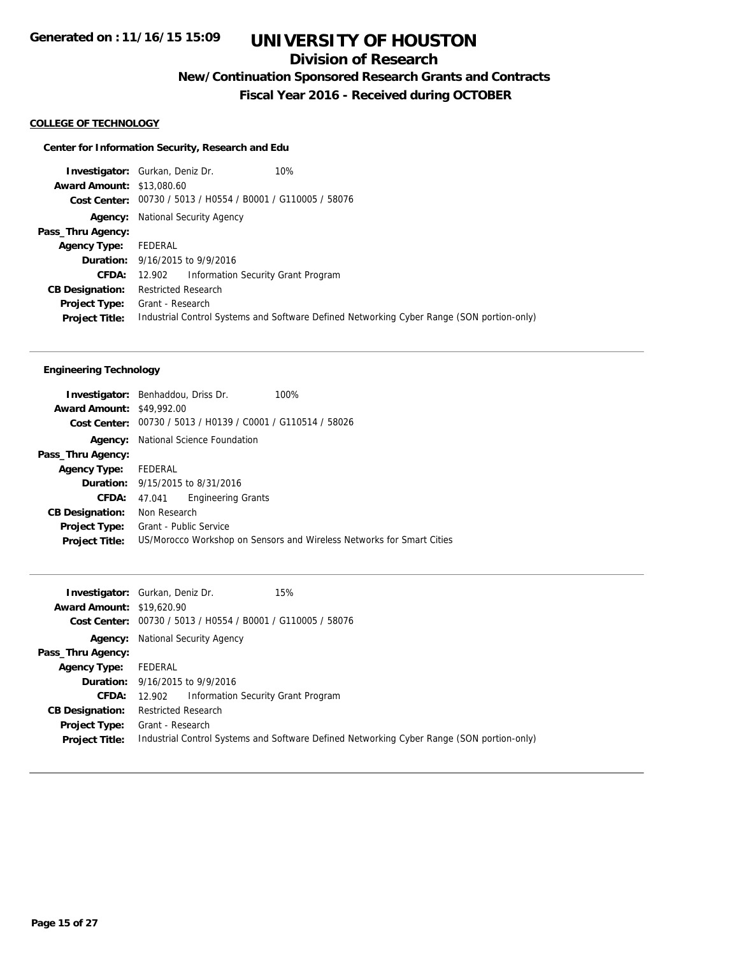# **Division of Research**

**New/Continuation Sponsored Research Grants and Contracts**

**Fiscal Year 2016 - Received during OCTOBER**

## **COLLEGE OF TECHNOLOGY**

## **Center for Information Security, Research and Edu**

|                                  | <b>Investigator:</b> Gurkan, Deniz Dr.<br>10%                                             |
|----------------------------------|-------------------------------------------------------------------------------------------|
| <b>Award Amount: \$13,080.60</b> |                                                                                           |
|                                  | Cost Center: 00730 / 5013 / H0554 / B0001 / G110005 / 58076                               |
|                                  | <b>Agency:</b> National Security Agency                                                   |
| Pass_Thru Agency:                |                                                                                           |
| <b>Agency Type:</b>              | FEDERAL                                                                                   |
|                                  | <b>Duration:</b> 9/16/2015 to 9/9/2016                                                    |
| <b>CFDA:</b>                     | Information Security Grant Program<br>12.902                                              |
| <b>CB Designation:</b>           | <b>Restricted Research</b>                                                                |
| <b>Project Type:</b>             | Grant - Research                                                                          |
| <b>Project Title:</b>            | Industrial Control Systems and Software Defined Networking Cyber Range (SON portion-only) |
|                                  |                                                                                           |

## **Engineering Technology**

| <b>Investigator:</b> Benhaddou, Driss Dr. |                     |                                                             | 100%                                                                  |
|-------------------------------------------|---------------------|-------------------------------------------------------------|-----------------------------------------------------------------------|
| <b>Award Amount: \$49,992.00</b>          |                     |                                                             |                                                                       |
|                                           |                     | Cost Center: 00730 / 5013 / H0139 / C0001 / G110514 / 58026 |                                                                       |
|                                           |                     | <b>Agency:</b> National Science Foundation                  |                                                                       |
| Pass_Thru Agency:                         |                     |                                                             |                                                                       |
| Agency Type: FEDERAL                      |                     |                                                             |                                                                       |
|                                           |                     | <b>Duration:</b> 9/15/2015 to 8/31/2016                     |                                                                       |
|                                           | <b>CFDA:</b> 47.041 | <b>Engineering Grants</b>                                   |                                                                       |
| <b>CB Designation:</b>                    | Non Research        |                                                             |                                                                       |
| Project Type:                             |                     | Grant - Public Service                                      |                                                                       |
| <b>Project Title:</b>                     |                     |                                                             | US/Morocco Workshop on Sensors and Wireless Networks for Smart Cities |

|                                  | 15%<br><b>Investigator:</b> Gurkan, Deniz Dr.                                             |
|----------------------------------|-------------------------------------------------------------------------------------------|
| <b>Award Amount: \$19,620.90</b> |                                                                                           |
|                                  | Cost Center: 00730 / 5013 / H0554 / B0001 / G110005 / 58076                               |
|                                  | <b>Agency:</b> National Security Agency                                                   |
| Pass_Thru Agency:                |                                                                                           |
| <b>Agency Type:</b>              | FEDERAL                                                                                   |
|                                  | <b>Duration:</b> 9/16/2015 to 9/9/2016                                                    |
|                                  | <b>CFDA:</b> 12.902 Information Security Grant Program                                    |
| <b>CB Designation:</b>           | <b>Restricted Research</b>                                                                |
| Project Type:                    | Grant - Research                                                                          |
| <b>Project Title:</b>            | Industrial Control Systems and Software Defined Networking Cyber Range (SON portion-only) |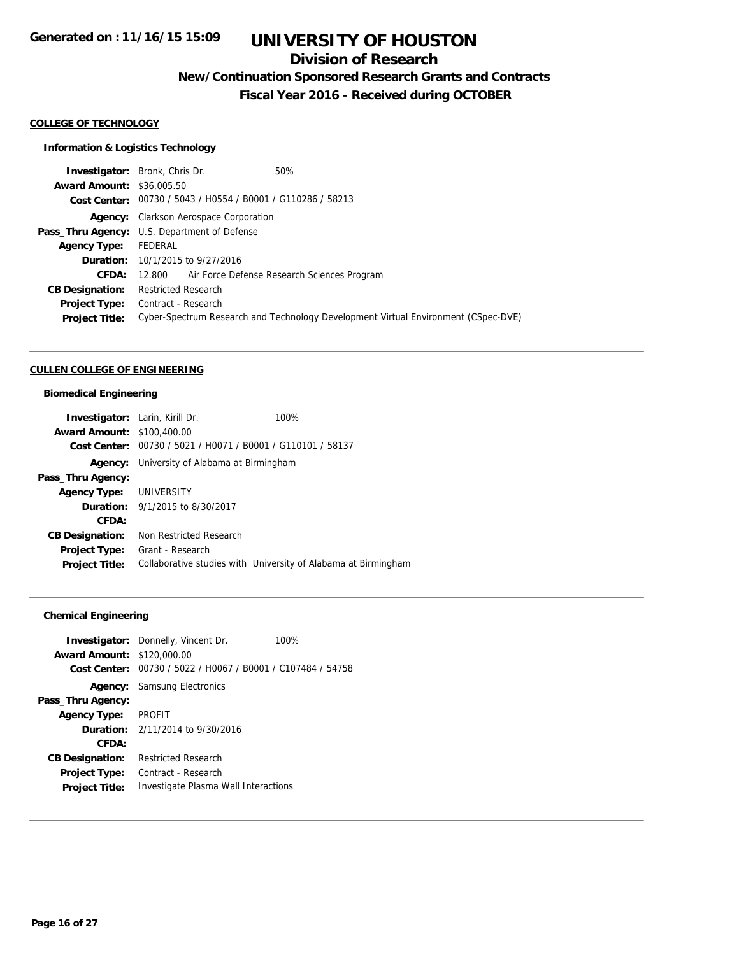## **Division of Research**

**New/Continuation Sponsored Research Grants and Contracts**

**Fiscal Year 2016 - Received during OCTOBER**

#### **COLLEGE OF TECHNOLOGY**

## **Information & Logistics Technology**

|                                  | <b>Investigator:</b> Bronk, Chris Dr.                       | 50%                                                                                |
|----------------------------------|-------------------------------------------------------------|------------------------------------------------------------------------------------|
| <b>Award Amount: \$36,005.50</b> |                                                             |                                                                                    |
|                                  | Cost Center: 00730 / 5043 / H0554 / B0001 / G110286 / 58213 |                                                                                    |
|                                  | <b>Agency:</b> Clarkson Aerospace Corporation               |                                                                                    |
|                                  | Pass_Thru Agency: U.S. Department of Defense                |                                                                                    |
| <b>Agency Type:</b>              | FEDERAL                                                     |                                                                                    |
|                                  | <b>Duration:</b> 10/1/2015 to 9/27/2016                     |                                                                                    |
| <b>CFDA:</b>                     | 12.800 Air Force Defense Research Sciences Program          |                                                                                    |
| <b>CB Designation:</b>           | <b>Restricted Research</b>                                  |                                                                                    |
| <b>Project Type:</b>             | Contract - Research                                         |                                                                                    |
| <b>Project Title:</b>            |                                                             | Cyber-Spectrum Research and Technology Development Virtual Environment (CSpec-DVE) |

#### **CULLEN COLLEGE OF ENGINEERING**

## **Biomedical Engineering**

| <b>Investigator:</b> Larin, Kirill Dr. |                                                             | 100%                                                           |
|----------------------------------------|-------------------------------------------------------------|----------------------------------------------------------------|
| <b>Award Amount: \$100,400.00</b>      |                                                             |                                                                |
|                                        | Cost Center: 00730 / 5021 / H0071 / B0001 / G110101 / 58137 |                                                                |
|                                        | <b>Agency:</b> University of Alabama at Birmingham          |                                                                |
| Pass_Thru Agency:                      |                                                             |                                                                |
| Agency Type: UNIVERSITY                |                                                             |                                                                |
|                                        | <b>Duration:</b> 9/1/2015 to 8/30/2017                      |                                                                |
| CFDA:                                  |                                                             |                                                                |
| <b>CB Designation:</b>                 | Non Restricted Research                                     |                                                                |
| Project Type:                          | Grant - Research                                            |                                                                |
| <b>Project Title:</b>                  |                                                             | Collaborative studies with University of Alabama at Birmingham |

## **Chemical Engineering**

|                                   | <b>Investigator:</b> Donnelly, Vincent Dr.                  | 100% |
|-----------------------------------|-------------------------------------------------------------|------|
| <b>Award Amount: \$120,000.00</b> |                                                             |      |
|                                   | Cost Center: 00730 / 5022 / H0067 / B0001 / C107484 / 54758 |      |
|                                   | <b>Agency:</b> Samsung Electronics                          |      |
| Pass_Thru Agency:                 |                                                             |      |
| Agency Type: PROFIT               |                                                             |      |
|                                   | <b>Duration:</b> $2/11/2014$ to $9/30/2016$                 |      |
| CFDA:                             |                                                             |      |
| <b>CB Designation:</b>            | <b>Restricted Research</b>                                  |      |
| <b>Project Type:</b>              | Contract - Research                                         |      |
| <b>Project Title:</b>             | Investigate Plasma Wall Interactions                        |      |
|                                   |                                                             |      |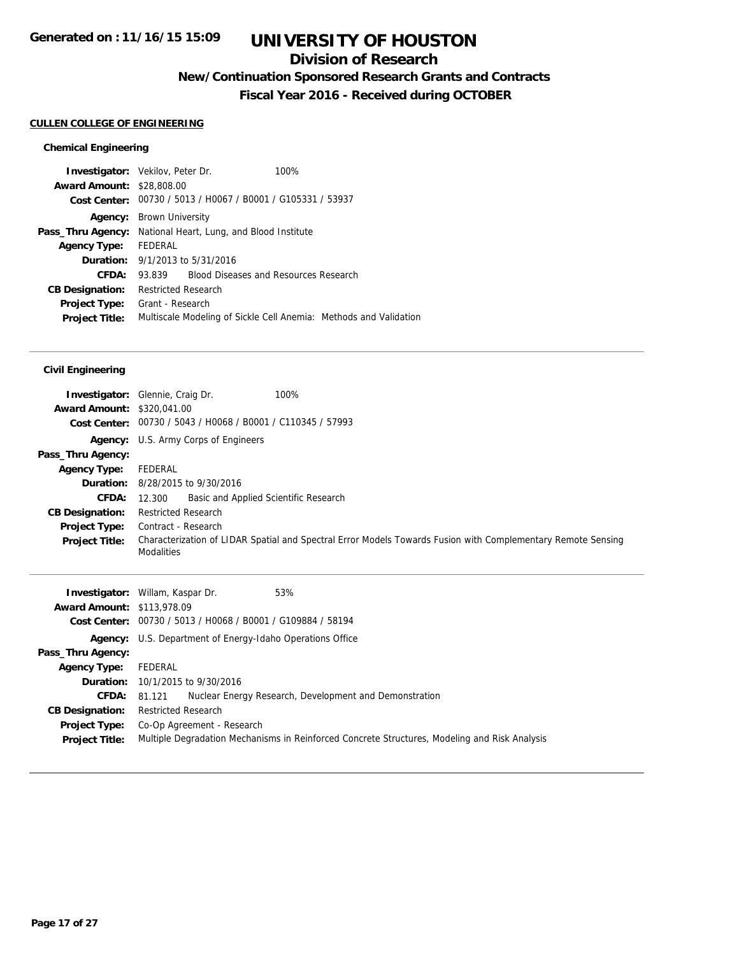## **Division of Research**

**New/Continuation Sponsored Research Grants and Contracts**

**Fiscal Year 2016 - Received during OCTOBER**

## **CULLEN COLLEGE OF ENGINEERING**

## **Chemical Engineering**

|                                  | <b>Investigator:</b> Vekilov, Peter Dr.                     | 100%                                                              |
|----------------------------------|-------------------------------------------------------------|-------------------------------------------------------------------|
| <b>Award Amount: \$28,808.00</b> |                                                             |                                                                   |
|                                  | Cost Center: 00730 / 5013 / H0067 / B0001 / G105331 / 53937 |                                                                   |
|                                  | <b>Agency:</b> Brown University                             |                                                                   |
| Pass_Thru Agency:                | National Heart, Lung, and Blood Institute                   |                                                                   |
| <b>Agency Type:</b>              | FEDERAL                                                     |                                                                   |
|                                  | <b>Duration:</b> 9/1/2013 to 5/31/2016                      |                                                                   |
| CFDA:                            | 93.839 Blood Diseases and Resources Research                |                                                                   |
| <b>CB Designation:</b>           | <b>Restricted Research</b>                                  |                                                                   |
| <b>Project Type:</b>             | Grant - Research                                            |                                                                   |
| <b>Project Title:</b>            |                                                             | Multiscale Modeling of Sickle Cell Anemia: Methods and Validation |

## **Civil Engineering**

| <b>Award Amount: \$320.041.00</b>             | 100%<br><b>Investigator:</b> Glennie, Craig Dr.<br>Cost Center: 00730 / 5043 / H0068 / B0001 / C110345 / 57993                                           |
|-----------------------------------------------|----------------------------------------------------------------------------------------------------------------------------------------------------------|
|                                               | <b>Agency:</b> U.S. Army Corps of Engineers                                                                                                              |
| Pass_Thru Agency:                             |                                                                                                                                                          |
| Agency Type:                                  | FEDERAL                                                                                                                                                  |
|                                               | <b>Duration:</b> 8/28/2015 to 9/30/2016                                                                                                                  |
| CFDA: 12.300                                  | Basic and Applied Scientific Research                                                                                                                    |
| <b>CB Designation:</b>                        | <b>Restricted Research</b>                                                                                                                               |
| <b>Project Type:</b><br><b>Project Title:</b> | Contract - Research<br>Characterization of LIDAR Spatial and Spectral Error Models Towards Fusion with Complementary Remote Sensing<br><b>Modalities</b> |

|                                   | 53%<br><b>Investigator:</b> Willam, Kaspar Dr.                                                |
|-----------------------------------|-----------------------------------------------------------------------------------------------|
| <b>Award Amount: \$113,978.09</b> |                                                                                               |
|                                   | Cost Center: 00730 / 5013 / H0068 / B0001 / G109884 / 58194                                   |
|                                   | <b>Agency:</b> U.S. Department of Energy-Idaho Operations Office                              |
| Pass_Thru Agency:                 |                                                                                               |
| <b>Agency Type:</b>               | FEDERAL                                                                                       |
|                                   | <b>Duration:</b> 10/1/2015 to 9/30/2016                                                       |
| CFDA:                             | Nuclear Energy Research, Development and Demonstration<br>81.121                              |
| <b>CB Designation:</b>            | <b>Restricted Research</b>                                                                    |
| <b>Project Type:</b>              | Co-Op Agreement - Research                                                                    |
| <b>Project Title:</b>             | Multiple Degradation Mechanisms in Reinforced Concrete Structures, Modeling and Risk Analysis |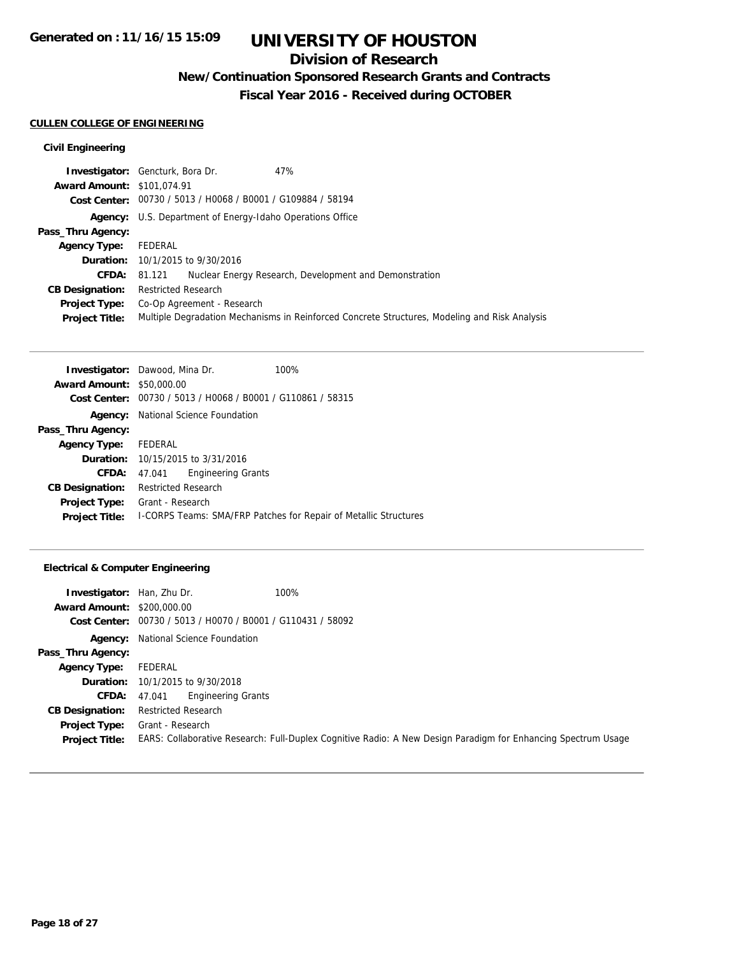# **Division of Research**

**New/Continuation Sponsored Research Grants and Contracts**

**Fiscal Year 2016 - Received during OCTOBER**

### **CULLEN COLLEGE OF ENGINEERING**

## **Civil Engineering**

|                                   | <b>Investigator:</b> Gencturk, Bora Dr.                     | 47%                                                                                           |
|-----------------------------------|-------------------------------------------------------------|-----------------------------------------------------------------------------------------------|
| <b>Award Amount: \$101,074.91</b> |                                                             |                                                                                               |
|                                   | Cost Center: 00730 / 5013 / H0068 / B0001 / G109884 / 58194 |                                                                                               |
| Agency:                           | U.S. Department of Energy-Idaho Operations Office           |                                                                                               |
| Pass_Thru Agency:                 |                                                             |                                                                                               |
| <b>Agency Type:</b>               | FEDERAL                                                     |                                                                                               |
|                                   | <b>Duration:</b> 10/1/2015 to 9/30/2016                     |                                                                                               |
| CFDA:                             | 81.121                                                      | Nuclear Energy Research, Development and Demonstration                                        |
| <b>CB Designation:</b>            | <b>Restricted Research</b>                                  |                                                                                               |
| <b>Project Type:</b>              | Co-Op Agreement - Research                                  |                                                                                               |
| <b>Project Title:</b>             |                                                             | Multiple Degradation Mechanisms in Reinforced Concrete Structures, Modeling and Risk Analysis |

|                                  | <b>Investigator:</b> Dawood, Mina Dr.          |                           | 100%                                                                    |
|----------------------------------|------------------------------------------------|---------------------------|-------------------------------------------------------------------------|
| <b>Award Amount: \$50,000.00</b> |                                                |                           |                                                                         |
| Cost Center:                     | 00730 / 5013 / H0068 / B0001 / G110861 / 58315 |                           |                                                                         |
| Agency:                          | National Science Foundation                    |                           |                                                                         |
| Pass_Thru Agency:                |                                                |                           |                                                                         |
| <b>Agency Type:</b>              | FEDERAL                                        |                           |                                                                         |
|                                  | <b>Duration:</b> 10/15/2015 to 3/31/2016       |                           |                                                                         |
| CFDA:                            | 47.041                                         | <b>Engineering Grants</b> |                                                                         |
| <b>CB Designation:</b>           | <b>Restricted Research</b>                     |                           |                                                                         |
| <b>Project Type:</b>             | Grant - Research                               |                           |                                                                         |
| <b>Project Title:</b>            |                                                |                           | <b>I-CORPS Teams: SMA/FRP Patches for Repair of Metallic Structures</b> |

## **Electrical & Computer Engineering**

| Investigator:<br><b>Award Amount: \$200,000.00</b><br>Cost Center: | Han, Zhu Dr.<br>00730 / 5013 / H0070 / B0001 / G110431 / 58092 | 100%                                                                                                          |
|--------------------------------------------------------------------|----------------------------------------------------------------|---------------------------------------------------------------------------------------------------------------|
|                                                                    | <b>Agency:</b> National Science Foundation                     |                                                                                                               |
| Pass_Thru Agency:                                                  |                                                                |                                                                                                               |
| <b>Agency Type:</b>                                                | FEDERAL                                                        |                                                                                                               |
|                                                                    | <b>Duration:</b> 10/1/2015 to 9/30/2018                        |                                                                                                               |
| <b>CFDA:</b>                                                       | Engineering Grants<br>47.041                                   |                                                                                                               |
| <b>CB Designation:</b>                                             | <b>Restricted Research</b>                                     |                                                                                                               |
| <b>Project Type:</b>                                               | Grant - Research                                               |                                                                                                               |
| <b>Project Title:</b>                                              |                                                                | EARS: Collaborative Research: Full-Duplex Cognitive Radio: A New Design Paradigm for Enhancing Spectrum Usage |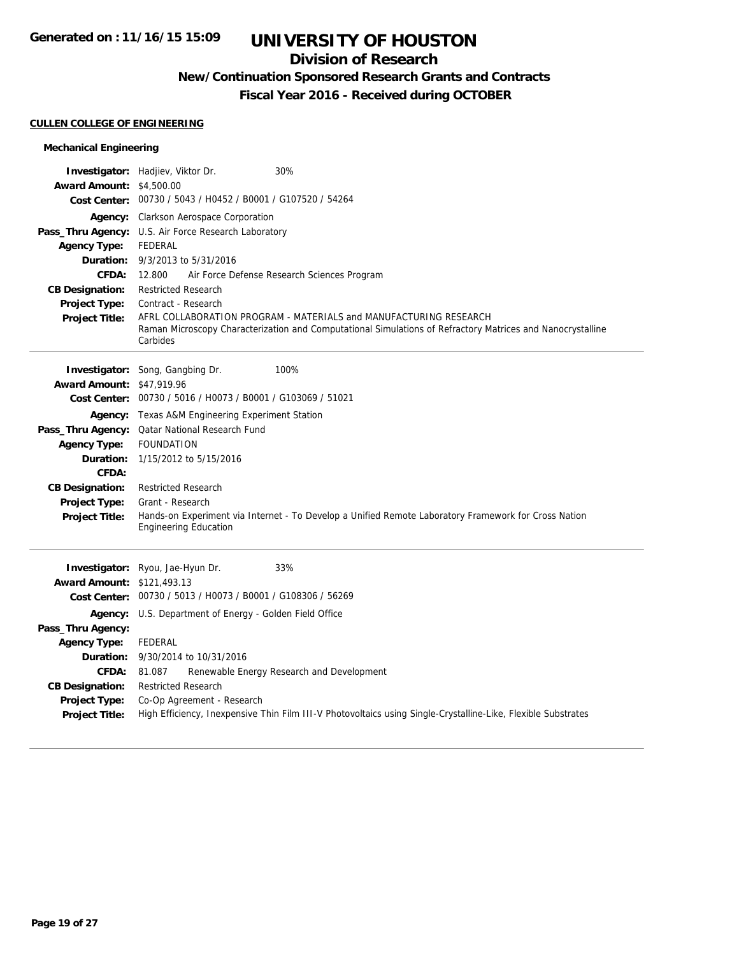## **Division of Research**

# **New/Continuation Sponsored Research Grants and Contracts**

**Fiscal Year 2016 - Received during OCTOBER**

### **CULLEN COLLEGE OF ENGINEERING**

## **Mechanical Engineering**

| <b>Award Amount: \$4,500.00</b>        | Investigator: Hadjiev, Viktor Dr.<br>30%                                                                                                                                                    |
|----------------------------------------|---------------------------------------------------------------------------------------------------------------------------------------------------------------------------------------------|
|                                        | Cost Center: 00730 / 5043 / H0452 / B0001 / G107520 / 54264                                                                                                                                 |
|                                        | Agency: Clarkson Aerospace Corporation<br>Pass_Thru Agency: U.S. Air Force Research Laboratory                                                                                              |
| <b>Agency Type:</b>                    | <b>FEDERAL</b>                                                                                                                                                                              |
| Duration:                              | 9/3/2013 to 5/31/2016                                                                                                                                                                       |
| CFDA:                                  | 12.800<br>Air Force Defense Research Sciences Program                                                                                                                                       |
| <b>CB Designation:</b>                 | <b>Restricted Research</b>                                                                                                                                                                  |
| <b>Project Type:</b>                   | Contract - Research                                                                                                                                                                         |
| <b>Project Title:</b>                  | AFRL COLLABORATION PROGRAM - MATERIALS and MANUFACTURING RESEARCH<br>Raman Microscopy Characterization and Computational Simulations of Refractory Matrices and Nanocrystalline<br>Carbides |
|                                        | 100%<br><b>Investigator:</b> Song, Gangbing Dr.                                                                                                                                             |
| <b>Award Amount: \$47,919.96</b>       |                                                                                                                                                                                             |
| <b>Cost Center:</b>                    | 00730 / 5016 / H0073 / B0001 / G103069 / 51021                                                                                                                                              |
|                                        | <b>Agency:</b> Texas A&M Engineering Experiment Station                                                                                                                                     |
|                                        | Pass_Thru Agency: Qatar National Research Fund                                                                                                                                              |
| <b>Agency Type:</b>                    | <b>FOUNDATION</b>                                                                                                                                                                           |
| Duration:                              | 1/15/2012 to 5/15/2016                                                                                                                                                                      |
| <b>CFDA:</b><br><b>CB Designation:</b> | <b>Restricted Research</b>                                                                                                                                                                  |
| Project Type:                          | Grant - Research                                                                                                                                                                            |
| <b>Project Title:</b>                  | Hands-on Experiment via Internet - To Develop a Unified Remote Laboratory Framework for Cross Nation<br><b>Engineering Education</b>                                                        |
|                                        | 33%<br>Investigator: Ryou, Jae-Hyun Dr.                                                                                                                                                     |
| <b>Award Amount: \$121,493.13</b>      |                                                                                                                                                                                             |
|                                        | Cost Center: 00730 / 5013 / H0073 / B0001 / G108306 / 56269                                                                                                                                 |
| Agency:                                | U.S. Department of Energy - Golden Field Office                                                                                                                                             |
| Pass_Thru Agency:                      |                                                                                                                                                                                             |
| <b>Agency Type:</b>                    | <b>FEDERAL</b>                                                                                                                                                                              |
| Duration:<br><b>CFDA:</b>              | 9/30/2014 to 10/31/2016<br>Renewable Energy Research and Development<br>81.087                                                                                                              |
| <b>CB Designation:</b>                 | <b>Restricted Research</b>                                                                                                                                                                  |
| <b>Project Type:</b>                   | Co-Op Agreement - Research                                                                                                                                                                  |
| <b>Project Title:</b>                  | High Efficiency, Inexpensive Thin Film III-V Photovoltaics using Single-Crystalline-Like, Flexible Substrates                                                                               |
|                                        |                                                                                                                                                                                             |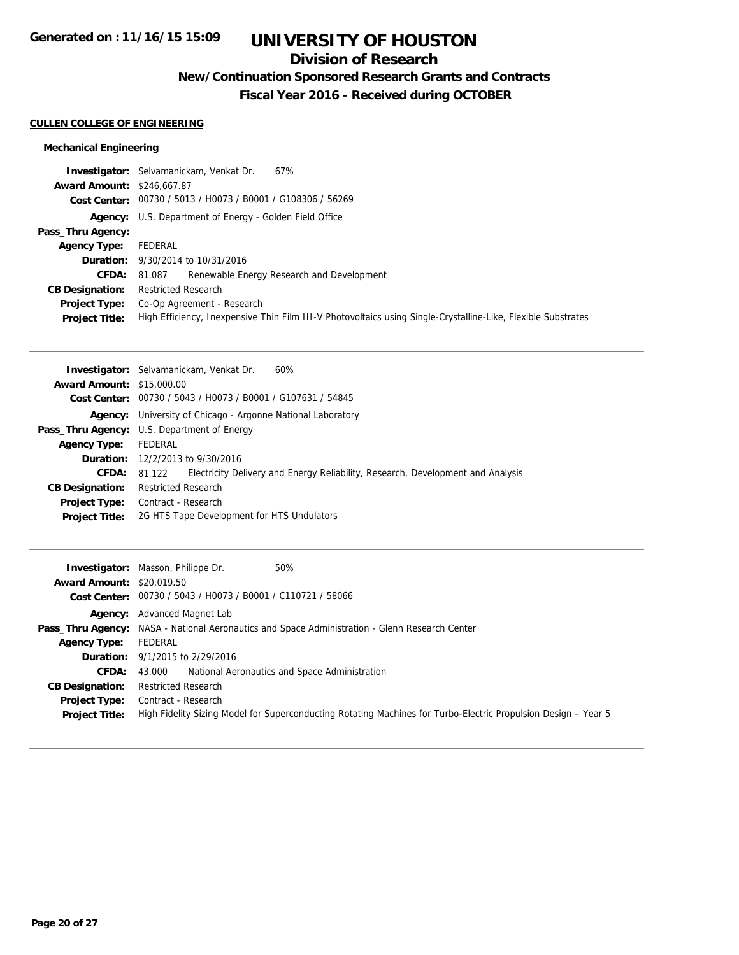## **Division of Research**

**New/Continuation Sponsored Research Grants and Contracts**

**Fiscal Year 2016 - Received during OCTOBER**

### **CULLEN COLLEGE OF ENGINEERING**

## **Mechanical Engineering**

|                                   | <b>Investigator:</b> Selvamanickam, Venkat Dr.<br>67%                                                         |  |  |
|-----------------------------------|---------------------------------------------------------------------------------------------------------------|--|--|
| <b>Award Amount: \$246,667.87</b> |                                                                                                               |  |  |
|                                   | Cost Center: 00730 / 5013 / H0073 / B0001 / G108306 / 56269                                                   |  |  |
|                                   | <b>Agency:</b> U.S. Department of Energy - Golden Field Office                                                |  |  |
| Pass_Thru Agency:                 |                                                                                                               |  |  |
| <b>Agency Type:</b>               | FEDERAL                                                                                                       |  |  |
|                                   | <b>Duration:</b> 9/30/2014 to 10/31/2016                                                                      |  |  |
| <b>CFDA:</b> 81.087               | Renewable Energy Research and Development                                                                     |  |  |
| <b>CB Designation:</b>            | <b>Restricted Research</b>                                                                                    |  |  |
| <b>Project Type:</b>              | Co-Op Agreement - Research                                                                                    |  |  |
| <b>Project Title:</b>             | High Efficiency, Inexpensive Thin Film III-V Photovoltaics using Single-Crystalline-Like, Flexible Substrates |  |  |

|                                  | 60%<br><b>Investigator:</b> Selvamanickam, Venkat Dr.                                     |  |  |
|----------------------------------|-------------------------------------------------------------------------------------------|--|--|
| <b>Award Amount: \$15,000.00</b> |                                                                                           |  |  |
|                                  | Cost Center: 00730 / 5043 / H0073 / B0001 / G107631 / 54845                               |  |  |
|                                  | <b>Agency:</b> University of Chicago - Argonne National Laboratory                        |  |  |
|                                  | Pass_Thru Agency: U.S. Department of Energy                                               |  |  |
| <b>Agency Type:</b>              | FEDERAL                                                                                   |  |  |
|                                  | <b>Duration:</b> 12/2/2013 to 9/30/2016                                                   |  |  |
| <b>CFDA:</b>                     | Electricity Delivery and Energy Reliability, Research, Development and Analysis<br>81.122 |  |  |
| <b>CB Designation:</b>           | <b>Restricted Research</b>                                                                |  |  |
| Project Type:                    | Contract - Research                                                                       |  |  |
| <b>Project Title:</b>            | 2G HTS Tape Development for HTS Undulators                                                |  |  |

| <b>Award Amount: \$20,019.50</b> | 50%<br><b>Investigator:</b> Masson, Philippe Dr.                                                               |  |  |
|----------------------------------|----------------------------------------------------------------------------------------------------------------|--|--|
|                                  | Cost Center: 00730 / 5043 / H0073 / B0001 / C110721 / 58066                                                    |  |  |
|                                  | <b>Agency:</b> Advanced Magnet Lab                                                                             |  |  |
|                                  | <b>Pass_Thru Agency:</b> NASA - National Aeronautics and Space Administration - Glenn Research Center          |  |  |
| <b>Agency Type:</b>              | FEDERAL                                                                                                        |  |  |
|                                  | <b>Duration:</b> 9/1/2015 to 2/29/2016                                                                         |  |  |
| <b>CFDA:</b>                     | National Aeronautics and Space Administration<br>43.000                                                        |  |  |
| <b>CB Designation:</b>           | <b>Restricted Research</b>                                                                                     |  |  |
|                                  | <b>Project Type:</b> Contract - Research                                                                       |  |  |
| <b>Project Title:</b>            | High Fidelity Sizing Model for Superconducting Rotating Machines for Turbo-Electric Propulsion Design – Year 5 |  |  |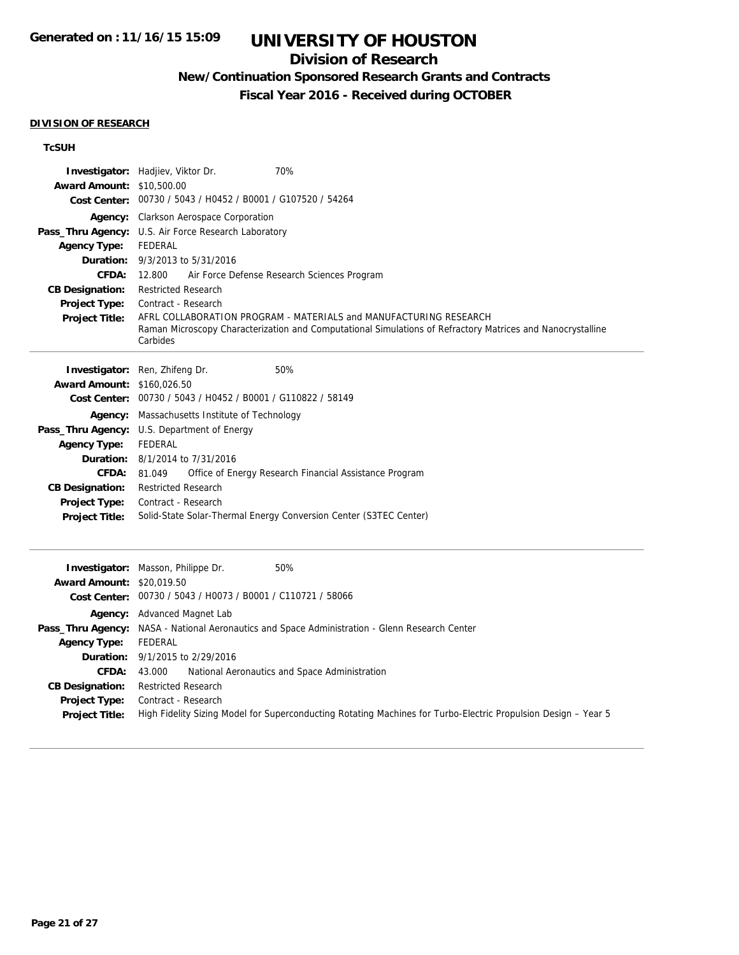## **Division of Research**

# **New/Continuation Sponsored Research Grants and Contracts**

**Fiscal Year 2016 - Received during OCTOBER**

#### **DIVISION OF RESEARCH**

## **TcSUH**

| <b>Award Amount: \$10,500.00</b>                                                                                                                                 | 70%<br>Investigator: Hadjiev, Viktor Dr.<br>Cost Center: 00730 / 5043 / H0452 / B0001 / G107520 / 54264                                                                                                                                                                                                                                                                                                                                                |
|------------------------------------------------------------------------------------------------------------------------------------------------------------------|--------------------------------------------------------------------------------------------------------------------------------------------------------------------------------------------------------------------------------------------------------------------------------------------------------------------------------------------------------------------------------------------------------------------------------------------------------|
| <b>Agency Type:</b><br>Duration:<br><b>CFDA:</b><br><b>CB Designation:</b><br><b>Project Type:</b><br><b>Project Title:</b>                                      | Agency: Clarkson Aerospace Corporation<br>Pass_Thru Agency: U.S. Air Force Research Laboratory<br><b>FEDERAL</b><br>9/3/2013 to 5/31/2016<br>12.800<br>Air Force Defense Research Sciences Program<br><b>Restricted Research</b><br>Contract - Research<br>AFRL COLLABORATION PROGRAM - MATERIALS and MANUFACTURING RESEARCH<br>Raman Microscopy Characterization and Computational Simulations of Refractory Matrices and Nanocrystalline<br>Carbides |
| <b>Award Amount: \$160,026.50</b><br><b>Agency Type:</b><br>Duration:<br><b>CFDA:</b><br><b>CB Designation:</b><br><b>Project Type:</b><br><b>Project Title:</b> | 50%<br>Investigator: Ren, Zhifeng Dr.<br>Cost Center: 00730 / 5043 / H0452 / B0001 / G110822 / 58149<br><b>Agency:</b> Massachusetts Institute of Technology<br>Pass_Thru Agency: U.S. Department of Energy<br><b>FEDERAL</b><br>8/1/2014 to 7/31/2016<br>81.049<br>Office of Energy Research Financial Assistance Program<br>Restricted Research<br>Contract - Research<br>Solid-State Solar-Thermal Energy Conversion Center (S3TEC Center)          |
| <b>Award Amount: \$20,019.50</b>                                                                                                                                 | Investigator: Masson, Philippe Dr.<br>50%<br>Cost Center: 00730 / 5043 / H0073 / B0001 / C110721 / 58066                                                                                                                                                                                                                                                                                                                                               |
| <b>Agency Type:</b><br>Duration:<br><b>CFDA:</b><br><b>CB Designation:</b><br><b>Project Type:</b><br><b>Project Title:</b>                                      | Agency: Advanced Magnet Lab<br>Pass_Thru Agency: NASA - National Aeronautics and Space Administration - Glenn Research Center<br><b>FEDERAL</b><br>9/1/2015 to 2/29/2016<br>National Aeronautics and Space Administration<br>43.000<br><b>Restricted Research</b><br>Contract - Research<br>High Fidelity Sizing Model for Superconducting Rotating Machines for Turbo-Electric Propulsion Design - Year 5                                             |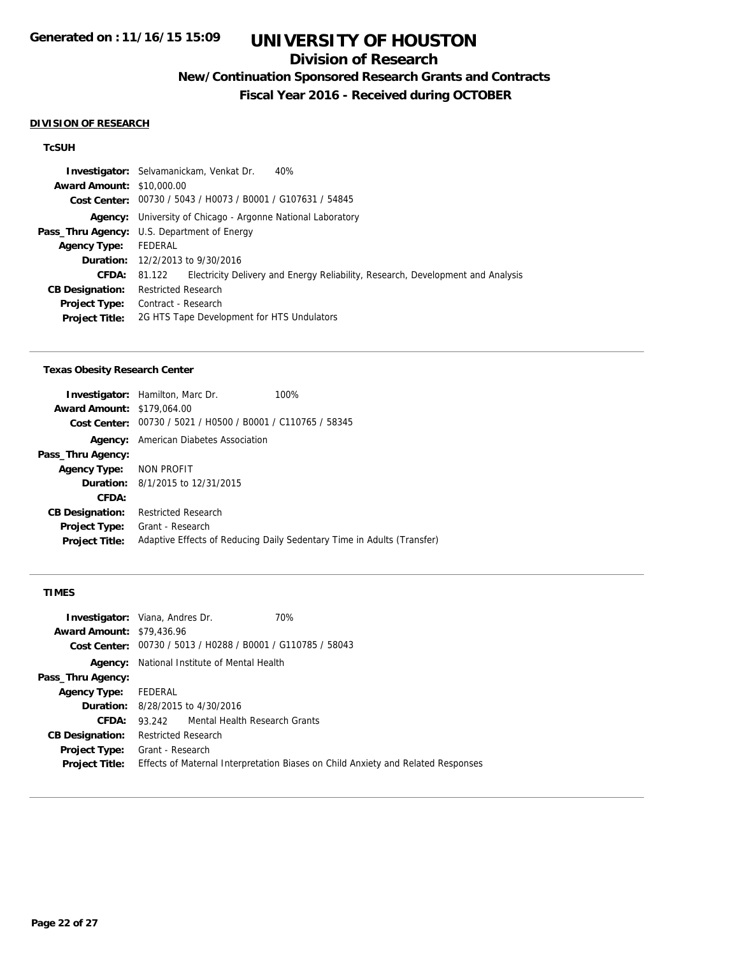## **Division of Research**

# **New/Continuation Sponsored Research Grants and Contracts**

**Fiscal Year 2016 - Received during OCTOBER**

#### **DIVISION OF RESEARCH**

## **TcSUH**

| <b>Award Amount: \$10,000.00</b>                   |                                                                                        |  |  |
|----------------------------------------------------|----------------------------------------------------------------------------------------|--|--|
|                                                    | Cost Center: 00730 / 5043 / H0073 / B0001 / G107631 / 54845                            |  |  |
|                                                    | Agency: University of Chicago - Argonne National Laboratory                            |  |  |
| <b>Pass_Thru Agency:</b> U.S. Department of Energy |                                                                                        |  |  |
| FEDERAL<br><b>Agency Type:</b>                     |                                                                                        |  |  |
| <b>Duration:</b> $12/2/2013$ to $9/30/2016$        |                                                                                        |  |  |
| <b>CFDA:</b>                                       | 81.122 Electricity Delivery and Energy Reliability, Research, Development and Analysis |  |  |
| <b>CB Designation:</b>                             | <b>Restricted Research</b>                                                             |  |  |
| <b>Project Type:</b>                               | Contract - Research                                                                    |  |  |
| <b>Project Title:</b>                              | 2G HTS Tape Development for HTS Undulators                                             |  |  |

#### **Texas Obesity Research Center**

|                                   | <b>Investigator:</b> Hamilton, Marc Dr.                     | 100%                                                                   |
|-----------------------------------|-------------------------------------------------------------|------------------------------------------------------------------------|
| <b>Award Amount: \$179,064.00</b> |                                                             |                                                                        |
|                                   | Cost Center: 00730 / 5021 / H0500 / B0001 / C110765 / 58345 |                                                                        |
| Agency:                           | American Diabetes Association                               |                                                                        |
| Pass_Thru Agency:                 |                                                             |                                                                        |
| Agency Type: NON PROFIT           |                                                             |                                                                        |
|                                   | <b>Duration:</b> 8/1/2015 to 12/31/2015                     |                                                                        |
| CFDA:                             |                                                             |                                                                        |
| <b>CB Designation:</b>            | <b>Restricted Research</b>                                  |                                                                        |
| Project Type:                     | Grant - Research                                            |                                                                        |
| <b>Project Title:</b>             |                                                             | Adaptive Effects of Reducing Daily Sedentary Time in Adults (Transfer) |
|                                   |                                                             |                                                                        |

## **TIMES**

|                                  | <b>Investigator:</b> Viana, Andres Dr.<br>70%  |                                                                                  |
|----------------------------------|------------------------------------------------|----------------------------------------------------------------------------------|
| <b>Award Amount: \$79,436.96</b> |                                                |                                                                                  |
| Cost Center:                     | 00730 / 5013 / H0288 / B0001 / G110785 / 58043 |                                                                                  |
| Agency:                          | National Institute of Mental Health            |                                                                                  |
| Pass_Thru Agency:                |                                                |                                                                                  |
| <b>Agency Type:</b>              | FEDERAL                                        |                                                                                  |
|                                  | <b>Duration:</b> 8/28/2015 to 4/30/2016        |                                                                                  |
| CFDA:                            | 93.242 Mental Health Research Grants           |                                                                                  |
| <b>CB Designation:</b>           | <b>Restricted Research</b>                     |                                                                                  |
|                                  | <b>Project Type:</b> Grant - Research          |                                                                                  |
| <b>Project Title:</b>            |                                                | Effects of Maternal Interpretation Biases on Child Anxiety and Related Responses |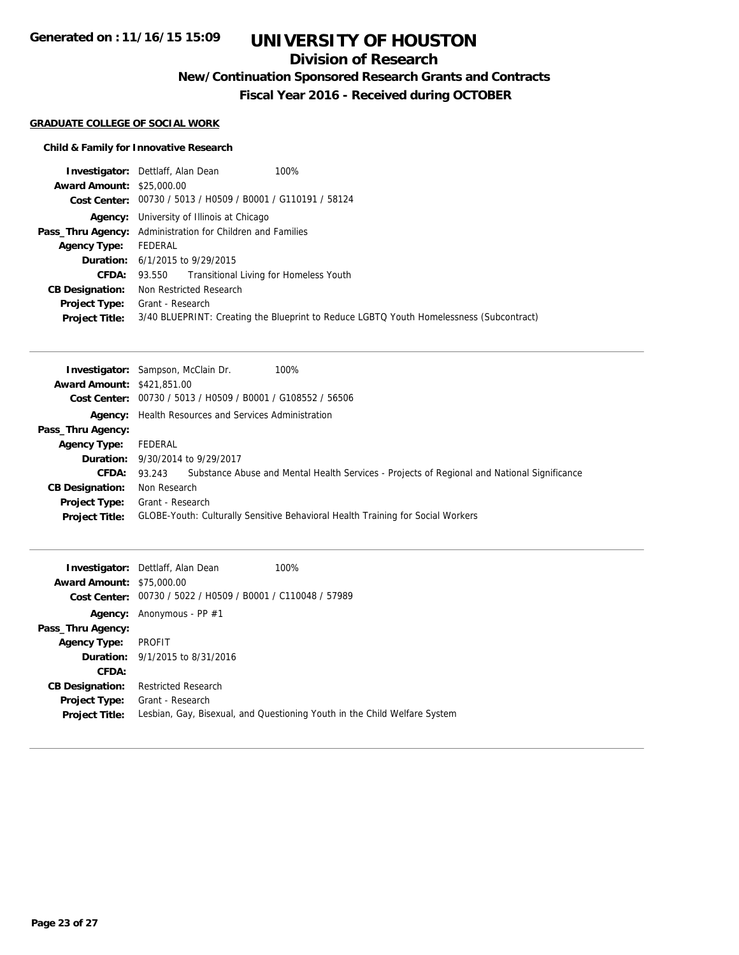## **Division of Research**

## **New/Continuation Sponsored Research Grants and Contracts**

**Fiscal Year 2016 - Received during OCTOBER**

### **GRADUATE COLLEGE OF SOCIAL WORK**

## **Child & Family for Innovative Research**

|                                  | 100%<br><b>Investigator:</b> Dettlaff, Alan Dean                                        |  |  |
|----------------------------------|-----------------------------------------------------------------------------------------|--|--|
| <b>Award Amount: \$25,000.00</b> |                                                                                         |  |  |
|                                  | Cost Center: 00730 / 5013 / H0509 / B0001 / G110191 / 58124                             |  |  |
|                                  | <b>Agency:</b> University of Illinois at Chicago                                        |  |  |
|                                  | Pass_Thru Agency: Administration for Children and Families                              |  |  |
| Agency Type: FEDERAL             |                                                                                         |  |  |
|                                  | <b>Duration:</b> 6/1/2015 to 9/29/2015                                                  |  |  |
| CFDA:                            | 93.550 Transitional Living for Homeless Youth                                           |  |  |
| <b>CB Designation:</b>           | Non Restricted Research                                                                 |  |  |
|                                  | <b>Project Type:</b> Grant - Research                                                   |  |  |
| <b>Project Title:</b>            | 3/40 BLUEPRINT: Creating the Blueprint to Reduce LGBTQ Youth Homelessness (Subcontract) |  |  |

|                                   | 100%<br><b>Investigator:</b> Sampson, McClain Dr.                                                               |  |  |
|-----------------------------------|-----------------------------------------------------------------------------------------------------------------|--|--|
| <b>Award Amount: \$421,851,00</b> |                                                                                                                 |  |  |
|                                   | Cost Center: 00730 / 5013 / H0509 / B0001 / G108552 / 56506                                                     |  |  |
|                                   | <b>Agency:</b> Health Resources and Services Administration                                                     |  |  |
| Pass_Thru Agency:                 |                                                                                                                 |  |  |
| <b>Agency Type:</b>               | FEDERAL                                                                                                         |  |  |
|                                   | <b>Duration:</b> 9/30/2014 to 9/29/2017                                                                         |  |  |
|                                   | <b>CFDA:</b> 93.243 Substance Abuse and Mental Health Services - Projects of Regional and National Significance |  |  |
| <b>CB Designation:</b>            | Non Research                                                                                                    |  |  |
| <b>Project Type:</b>              | Grant - Research                                                                                                |  |  |
| <b>Project Title:</b>             | GLOBE-Youth: Culturally Sensitive Behavioral Health Training for Social Workers                                 |  |  |

| <b>Award Amount: \$75,000.00</b> | <b>Investigator:</b> Dettlaff, Alan Dean<br>Cost Center: 00730 / 5022 / H0509 / B0001 / C110048 / 57989 | 100%                                                                      |
|----------------------------------|---------------------------------------------------------------------------------------------------------|---------------------------------------------------------------------------|
|                                  | <b>Agency:</b> Anonymous - PP $#1$                                                                      |                                                                           |
| Pass_Thru Agency:                |                                                                                                         |                                                                           |
| <b>Agency Type:</b>              | PROFIT                                                                                                  |                                                                           |
|                                  | <b>Duration:</b> 9/1/2015 to 8/31/2016                                                                  |                                                                           |
| CFDA:                            |                                                                                                         |                                                                           |
| <b>CB Designation:</b>           | <b>Restricted Research</b>                                                                              |                                                                           |
| <b>Project Type:</b>             | Grant - Research                                                                                        |                                                                           |
| <b>Project Title:</b>            |                                                                                                         | Lesbian, Gay, Bisexual, and Questioning Youth in the Child Welfare System |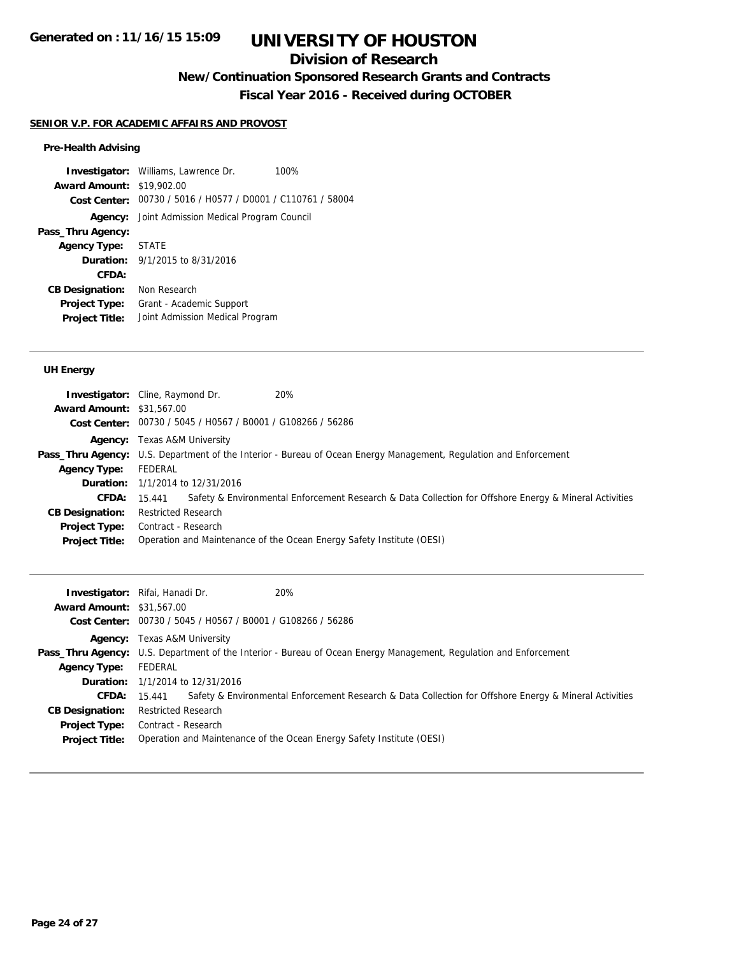## **Division of Research**

## **New/Continuation Sponsored Research Grants and Contracts**

**Fiscal Year 2016 - Received during OCTOBER**

### **SENIOR V.P. FOR ACADEMIC AFFAIRS AND PROVOST**

### **Pre-Health Advising**

**Investigator:** Williams, Lawrence Dr. 100% **Award Amount:** \$19,902.00 **Cost Center:** 00730 / 5016 / H0577 / D0001 / C110761 / 58004 **Agency:** Joint Admission Medical Program Council **Pass\_Thru Agency: Agency Type:** STATE **Duration:** 9/1/2015 to 8/31/2016 **CFDA: CB Designation:** Non Research **Project Type:** Grant - Academic Support **Project Title:** Joint Admission Medical Program

### **UH Energy**

|                                  | 20%<br><b>Investigator:</b> Cline, Raymond Dr.                                                                           |                                                                                                        |  |
|----------------------------------|--------------------------------------------------------------------------------------------------------------------------|--------------------------------------------------------------------------------------------------------|--|
| <b>Award Amount: \$31,567.00</b> |                                                                                                                          |                                                                                                        |  |
|                                  | Cost Center: 00730 / 5045 / H0567 / B0001 / G108266 / 56286                                                              |                                                                                                        |  |
|                                  | <b>Agency:</b> Texas A&M University                                                                                      |                                                                                                        |  |
|                                  | <b>Pass_Thru Agency:</b> U.S. Department of the Interior - Bureau of Ocean Energy Management, Regulation and Enforcement |                                                                                                        |  |
| <b>Agency Type:</b>              | FEDERAL                                                                                                                  |                                                                                                        |  |
|                                  | <b>Duration:</b> 1/1/2014 to 12/31/2016                                                                                  |                                                                                                        |  |
| CFDA:                            | 15.441                                                                                                                   | Safety & Environmental Enforcement Research & Data Collection for Offshore Energy & Mineral Activities |  |
| <b>CB Designation:</b>           | <b>Restricted Research</b>                                                                                               |                                                                                                        |  |
|                                  | <b>Project Type:</b> Contract - Research                                                                                 |                                                                                                        |  |
| <b>Project Title:</b>            | Operation and Maintenance of the Ocean Energy Safety Institute (OESI)                                                    |                                                                                                        |  |

| <b>Award Amount: \$31,567.00</b> | <b>Investigator:</b> Rifai, Hanadi Dr.<br>Cost Center: 00730 / 5045 / H0567 / B0001 / G108266 / 56286             | 20%                                                                                                    |  |
|----------------------------------|-------------------------------------------------------------------------------------------------------------------|--------------------------------------------------------------------------------------------------------|--|
|                                  | <b>Agency:</b> Texas A&M University                                                                               |                                                                                                        |  |
|                                  | Pass_Thru Agency: U.S. Department of the Interior - Bureau of Ocean Energy Management, Regulation and Enforcement |                                                                                                        |  |
| <b>Agency Type:</b>              | FEDERAL                                                                                                           |                                                                                                        |  |
|                                  | <b>Duration:</b> 1/1/2014 to 12/31/2016                                                                           |                                                                                                        |  |
|                                  | <b>CFDA:</b> $15.441$                                                                                             | Safety & Environmental Enforcement Research & Data Collection for Offshore Energy & Mineral Activities |  |
| <b>CB Designation:</b>           | Restricted Research                                                                                               |                                                                                                        |  |
|                                  | <b>Project Type:</b> Contract - Research                                                                          |                                                                                                        |  |
| <b>Project Title:</b>            |                                                                                                                   | Operation and Maintenance of the Ocean Energy Safety Institute (OESI)                                  |  |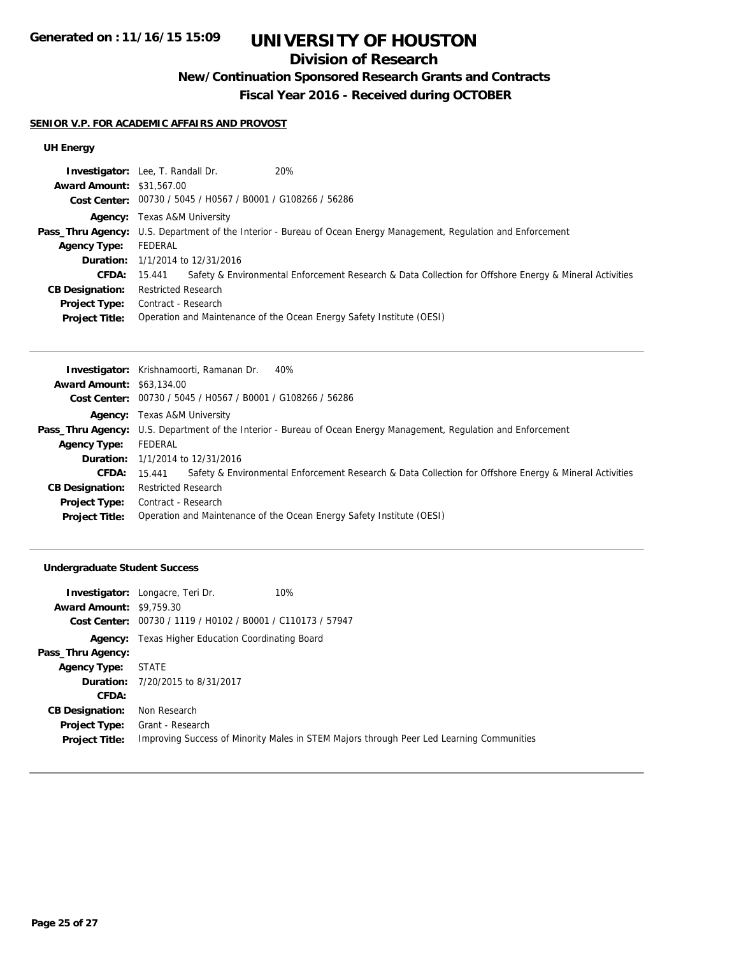# **Division of Research**

## **New/Continuation Sponsored Research Grants and Contracts**

**Fiscal Year 2016 - Received during OCTOBER**

### **SENIOR V.P. FOR ACADEMIC AFFAIRS AND PROVOST**

## **UH Energy**

|                                  | Investigator: Lee, T. Randall Dr.                                                                                        | 20%                                                                                                    |  |
|----------------------------------|--------------------------------------------------------------------------------------------------------------------------|--------------------------------------------------------------------------------------------------------|--|
| <b>Award Amount: \$31,567.00</b> |                                                                                                                          |                                                                                                        |  |
|                                  | Cost Center: 00730 / 5045 / H0567 / B0001 / G108266 / 56286                                                              |                                                                                                        |  |
|                                  | <b>Agency:</b> Texas A&M University                                                                                      |                                                                                                        |  |
|                                  | <b>Pass_Thru Agency:</b> U.S. Department of the Interior - Bureau of Ocean Energy Management, Regulation and Enforcement |                                                                                                        |  |
| Agency Type:                     | FEDERAL                                                                                                                  |                                                                                                        |  |
|                                  | <b>Duration:</b> 1/1/2014 to 12/31/2016                                                                                  |                                                                                                        |  |
| CFDA:                            | 15.441                                                                                                                   | Safety & Environmental Enforcement Research & Data Collection for Offshore Energy & Mineral Activities |  |
| <b>CB Designation:</b>           | <b>Restricted Research</b>                                                                                               |                                                                                                        |  |
| <b>Project Type:</b>             | Contract - Research                                                                                                      |                                                                                                        |  |
| <b>Project Title:</b>            | Operation and Maintenance of the Ocean Energy Safety Institute (OESI)                                                    |                                                                                                        |  |

|                                  | 40%<br><b>Investigator:</b> Krishnamoorti, Ramanan Dr.                                                                   |  |  |
|----------------------------------|--------------------------------------------------------------------------------------------------------------------------|--|--|
| <b>Award Amount: \$63,134.00</b> |                                                                                                                          |  |  |
|                                  | Cost Center: 00730 / 5045 / H0567 / B0001 / G108266 / 56286                                                              |  |  |
|                                  | <b>Agency:</b> Texas A&M University                                                                                      |  |  |
|                                  | <b>Pass_Thru Agency:</b> U.S. Department of the Interior - Bureau of Ocean Energy Management, Regulation and Enforcement |  |  |
| <b>Agency Type:</b>              | FEDERAL                                                                                                                  |  |  |
|                                  | <b>Duration:</b> 1/1/2014 to 12/31/2016                                                                                  |  |  |
| CFDA:                            | Safety & Environmental Enforcement Research & Data Collection for Offshore Energy & Mineral Activities<br>15.441         |  |  |
| <b>CB Designation:</b>           | Restricted Research                                                                                                      |  |  |
| <b>Project Type:</b>             | Contract - Research                                                                                                      |  |  |
| <b>Project Title:</b>            | Operation and Maintenance of the Ocean Energy Safety Institute (OESI)                                                    |  |  |

## **Undergraduate Student Success**

|                                 | <b>Investigator:</b> Longacre, Teri Dr.                     | 10%                                                                                      |
|---------------------------------|-------------------------------------------------------------|------------------------------------------------------------------------------------------|
| <b>Award Amount: \$9,759.30</b> |                                                             |                                                                                          |
|                                 | Cost Center: 00730 / 1119 / H0102 / B0001 / C110173 / 57947 |                                                                                          |
|                                 | <b>Agency:</b> Texas Higher Education Coordinating Board    |                                                                                          |
| Pass_Thru Agency:               |                                                             |                                                                                          |
| <b>Agency Type:</b>             | STATE                                                       |                                                                                          |
|                                 | <b>Duration:</b> 7/20/2015 to 8/31/2017                     |                                                                                          |
| CFDA:                           |                                                             |                                                                                          |
| <b>CB Designation:</b>          | Non Research                                                |                                                                                          |
|                                 | <b>Project Type:</b> Grant - Research                       |                                                                                          |
| <b>Project Title:</b>           |                                                             | Improving Success of Minority Males in STEM Majors through Peer Led Learning Communities |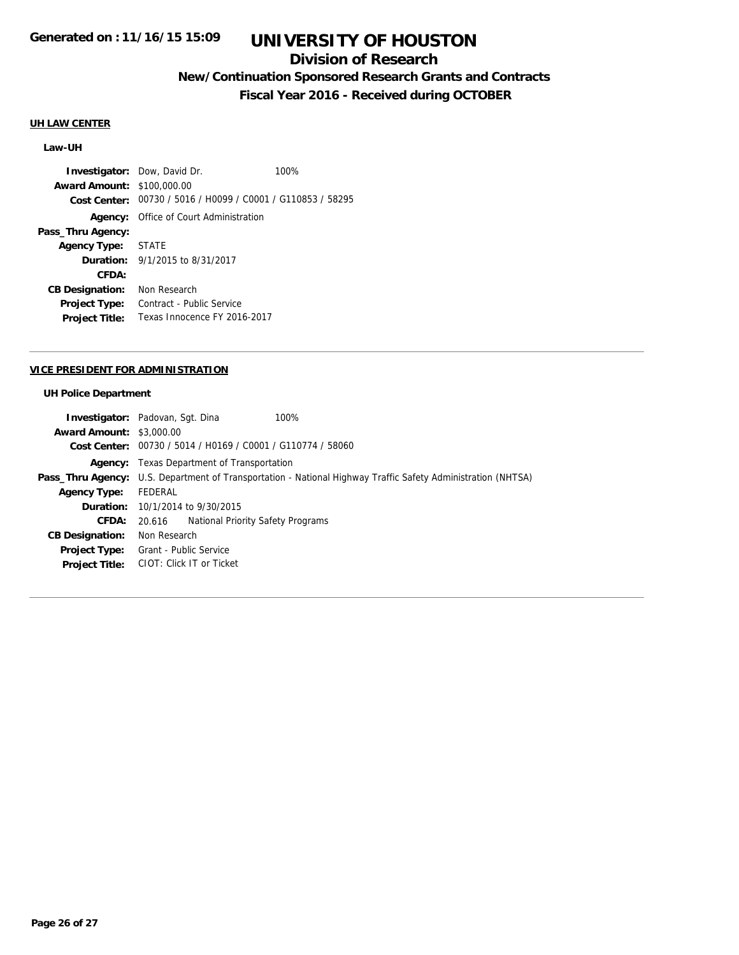## **Division of Research**

## **New/Continuation Sponsored Research Grants and Contracts**

**Fiscal Year 2016 - Received during OCTOBER**

#### **UH LAW CENTER**

### **Law-UH**

**Investigator:** Dow, David Dr. 100% **Award Amount:** \$100,000.00 **Cost Center:** 00730 / 5016 / H0099 / C0001 / G110853 / 58295 **Agency:** Office of Court Administration **Pass\_Thru Agency: Agency Type:** STATE **Duration:** 9/1/2015 to 8/31/2017 **CFDA: CB Designation:** Non Research **Project Type:** Contract - Public Service **Project Title:** Texas Innocence FY 2016-2017

#### **VICE PRESIDENT FOR ADMINISTRATION**

#### **UH Police Department**

|                                 | <b>Investigator:</b> Padovan, Sqt. Dina                                                                      | 100% |  |
|---------------------------------|--------------------------------------------------------------------------------------------------------------|------|--|
| <b>Award Amount: \$3,000.00</b> |                                                                                                              |      |  |
|                                 | Cost Center: 00730 / 5014 / H0169 / C0001 / G110774 / 58060                                                  |      |  |
|                                 | <b>Agency:</b> Texas Department of Transportation                                                            |      |  |
|                                 | Pass_Thru Agency: U.S. Department of Transportation - National Highway Traffic Safety Administration (NHTSA) |      |  |
| <b>Agency Type:</b>             | FEDERAL                                                                                                      |      |  |
|                                 | <b>Duration:</b> 10/1/2014 to 9/30/2015                                                                      |      |  |
| CFDA:                           | 20.616 National Priority Safety Programs                                                                     |      |  |
| <b>CB Designation:</b>          | Non Research                                                                                                 |      |  |
|                                 | <b>Project Type:</b> Grant - Public Service                                                                  |      |  |
|                                 | Project Title: CIOT: Click IT or Ticket                                                                      |      |  |